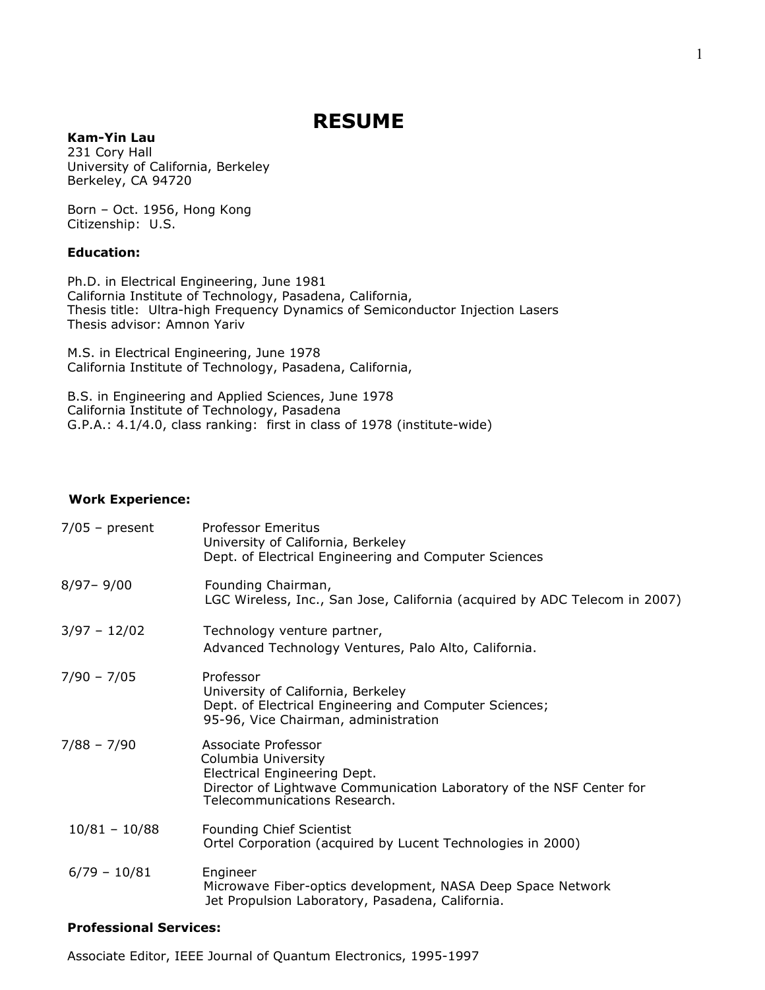# **RESUME**

# **Kam-Yin Lau**

231 Cory Hall University of California, Berkeley Berkeley, CA 94720

Born – Oct. 1956, Hong Kong Citizenship: U.S.

## **Education:**

Ph.D. in Electrical Engineering, June 1981 California Institute of Technology, Pasadena, California, Thesis title: Ultra-high Frequency Dynamics of Semiconductor Injection Lasers Thesis advisor: Amnon Yariv

M.S. in Electrical Engineering, June 1978 California Institute of Technology, Pasadena, California,

B.S. in Engineering and Applied Sciences, June 1978 California Institute of Technology, Pasadena G.P.A.: 4.1/4.0, class ranking: first in class of 1978 (institute-wide)

#### **Work Experience:**

| $7/05$ - present | <b>Professor Emeritus</b><br>University of California, Berkeley<br>Dept. of Electrical Engineering and Computer Sciences                                                           |
|------------------|------------------------------------------------------------------------------------------------------------------------------------------------------------------------------------|
| $8/97 - 9/00$    | Founding Chairman,<br>LGC Wireless, Inc., San Jose, California (acquired by ADC Telecom in 2007)                                                                                   |
| $3/97 - 12/02$   | Technology venture partner,<br>Advanced Technology Ventures, Palo Alto, California.                                                                                                |
| $7/90 - 7/05$    | Professor<br>University of California, Berkeley<br>Dept. of Electrical Engineering and Computer Sciences;<br>95-96, Vice Chairman, administration                                  |
| $7/88 - 7/90$    | Associate Professor<br>Columbia University<br>Electrical Engineering Dept.<br>Director of Lightwave Communication Laboratory of the NSF Center for<br>Telecommunications Research. |
| $10/81 - 10/88$  | <b>Founding Chief Scientist</b><br>Ortel Corporation (acquired by Lucent Technologies in 2000)                                                                                     |
| $6/79 - 10/81$   | Engineer<br>Microwave Fiber-optics development, NASA Deep Space Network<br>Jet Propulsion Laboratory, Pasadena, California.                                                        |

## **Professional Services:**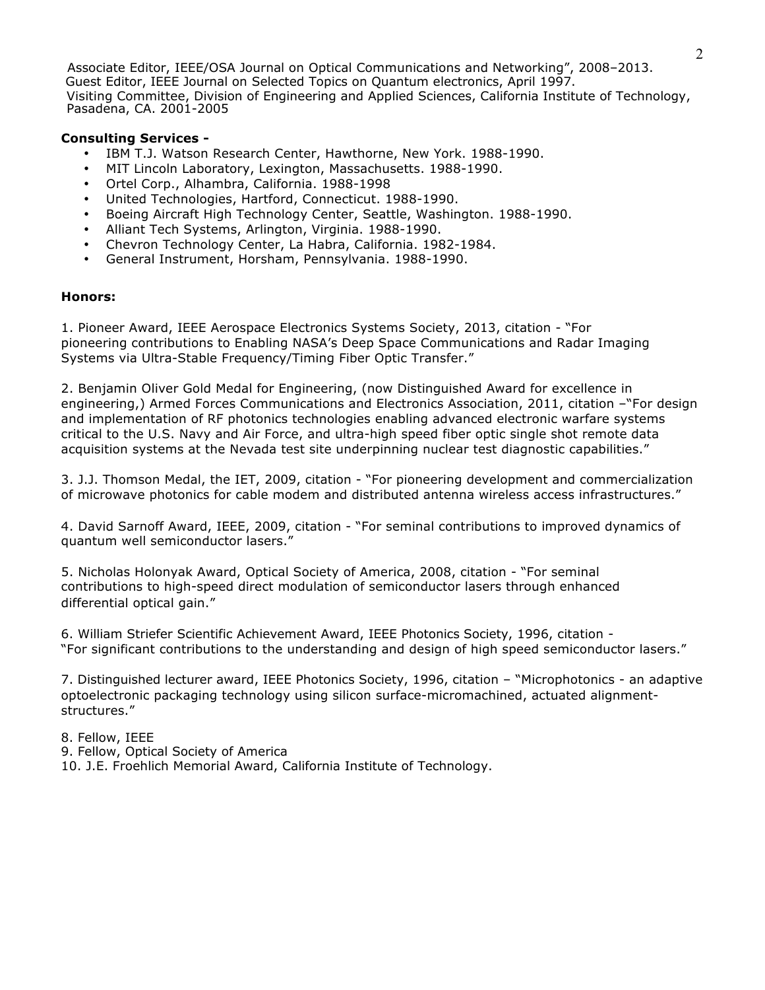Associate Editor, IEEE/OSA Journal on Optical Communications and Networking", 2008–2013. Guest Editor, IEEE Journal on Selected Topics on Quantum electronics, April 1997. Visiting Committee, Division of Engineering and Applied Sciences, California Institute of Technology, Pasadena, CA. 2001-2005

## **Consulting Services -**

- IBM T.J. Watson Research Center, Hawthorne, New York. 1988-1990.
- MIT Lincoln Laboratory, Lexington, Massachusetts. 1988-1990.
- Ortel Corp., Alhambra, California. 1988-1998
- United Technologies, Hartford, Connecticut. 1988-1990.
- Boeing Aircraft High Technology Center, Seattle, Washington. 1988-1990.
- Alliant Tech Systems, Arlington, Virginia. 1988-1990.
- Chevron Technology Center, La Habra, California. 1982-1984.
- General Instrument, Horsham, Pennsylvania. 1988-1990.

# **Honors:**

1. Pioneer Award, IEEE Aerospace Electronics Systems Society, 2013, citation - "For pioneering contributions to Enabling NASA's Deep Space Communications and Radar Imaging Systems via Ultra-Stable Frequency/Timing Fiber Optic Transfer."

2. Benjamin Oliver Gold Medal for Engineering, (now Distinguished Award for excellence in engineering,) Armed Forces Communications and Electronics Association, 2011, citation –"For design and implementation of RF photonics technologies enabling advanced electronic warfare systems critical to the U.S. Navy and Air Force, and ultra-high speed fiber optic single shot remote data acquisition systems at the Nevada test site underpinning nuclear test diagnostic capabilities."

3. J.J. Thomson Medal, the IET, 2009, citation - "For pioneering development and commercialization of microwave photonics for cable modem and distributed antenna wireless access infrastructures."

4. David Sarnoff Award, IEEE, 2009, citation - "For seminal contributions to improved dynamics of quantum well semiconductor lasers."

5. Nicholas Holonyak Award, Optical Society of America, 2008, citation - "For seminal contributions to high-speed direct modulation of semiconductor lasers through enhanced differential optical gain."

6. William Striefer Scientific Achievement Award, IEEE Photonics Society, 1996, citation - "For significant contributions to the understanding and design of high speed semiconductor lasers."

7. Distinguished lecturer award, IEEE Photonics Society, 1996, citation – "Microphotonics - an adaptive optoelectronic packaging technology using silicon surface-micromachined, actuated alignmentstructures."

## 8. Fellow, IEEE

- 9. Fellow, Optical Society of America
- 10. J.E. Froehlich Memorial Award, California Institute of Technology.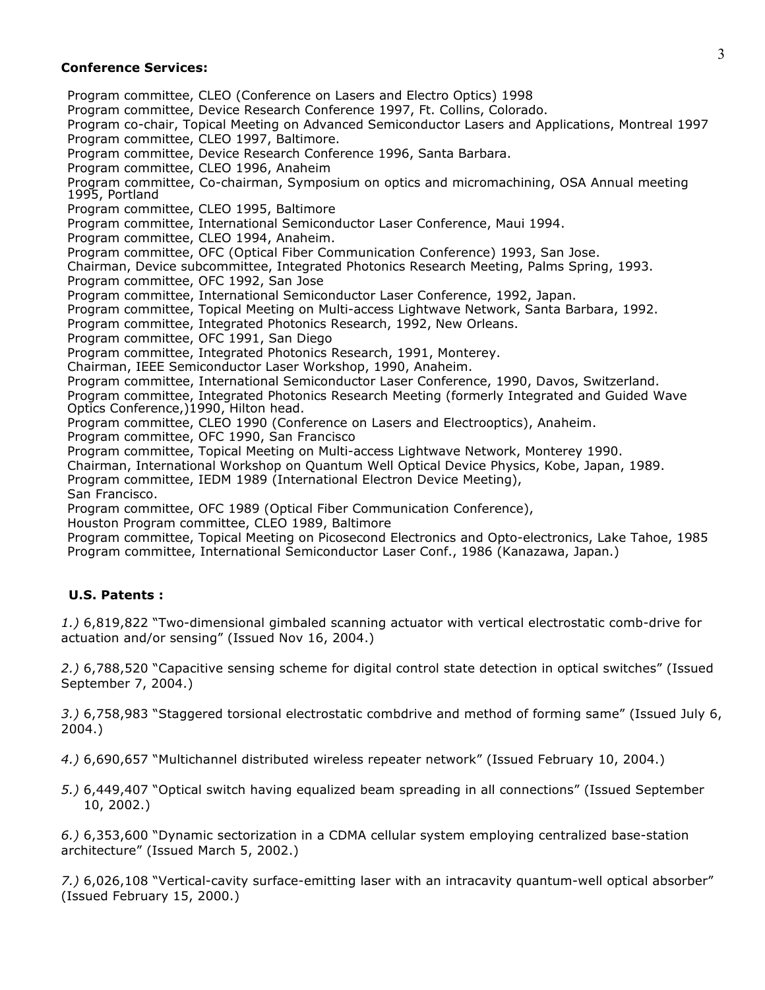#### **Conference Services:**

Program committee, CLEO (Conference on Lasers and Electro Optics) 1998 Program committee, Device Research Conference 1997, Ft. Collins, Colorado. Program co-chair, Topical Meeting on Advanced Semiconductor Lasers and Applications, Montreal 1997 Program committee, CLEO 1997, Baltimore. Program committee, Device Research Conference 1996, Santa Barbara. Program committee, CLEO 1996, Anaheim Program committee, Co-chairman, Symposium on optics and micromachining, OSA Annual meeting 1995, Portland Program committee, CLEO 1995, Baltimore Program committee, International Semiconductor Laser Conference, Maui 1994. Program committee, CLEO 1994, Anaheim. Program committee, OFC (Optical Fiber Communication Conference) 1993, San Jose. Chairman, Device subcommittee, Integrated Photonics Research Meeting, Palms Spring, 1993. Program committee, OFC 1992, San Jose Program committee, International Semiconductor Laser Conference, 1992, Japan. Program committee, Topical Meeting on Multi-access Lightwave Network, Santa Barbara, 1992. Program committee, Integrated Photonics Research, 1992, New Orleans. Program committee, OFC 1991, San Diego Program committee, Integrated Photonics Research, 1991, Monterey. Chairman, IEEE Semiconductor Laser Workshop, 1990, Anaheim. Program committee, International Semiconductor Laser Conference, 1990, Davos, Switzerland. Program committee, Integrated Photonics Research Meeting (formerly Integrated and Guided Wave Optics Conference,)1990, Hilton head. Program committee, CLEO 1990 (Conference on Lasers and Electrooptics), Anaheim. Program committee, OFC 1990, San Francisco Program committee, Topical Meeting on Multi-access Lightwave Network, Monterey 1990. Chairman, International Workshop on Quantum Well Optical Device Physics, Kobe, Japan, 1989. Program committee, IEDM 1989 (International Electron Device Meeting), San Francisco. Program committee, OFC 1989 (Optical Fiber Communication Conference), Houston Program committee, CLEO 1989, Baltimore Program committee, Topical Meeting on Picosecond Electronics and Opto-electronics, Lake Tahoe, 1985 Program committee, International Semiconductor Laser Conf., 1986 (Kanazawa, Japan.)

## **U.S. Patents :**

*1.)* 6,819,822 "Two-dimensional gimbaled scanning actuator with vertical electrostatic comb-drive for actuation and/or sensing" (Issued Nov 16, 2004.)

*2.)* 6,788,520 "Capacitive sensing scheme for digital control state detection in optical switches" (Issued September 7, 2004.)

*3.)* 6,758,983 "Staggered torsional electrostatic combdrive and method of forming same" (Issued July 6, 2004.)

*4.)* 6,690,657 "Multichannel distributed wireless repeater network" (Issued February 10, 2004.)

*5.)* 6,449,407 "Optical switch having equalized beam spreading in all connections" (Issued September 10, 2002.)

*6.)* 6,353,600 "Dynamic sectorization in a CDMA cellular system employing centralized base-station architecture" (Issued March 5, 2002.)

*7.)* 6,026,108 "Vertical-cavity surface-emitting laser with an intracavity quantum-well optical absorber" (Issued February 15, 2000.)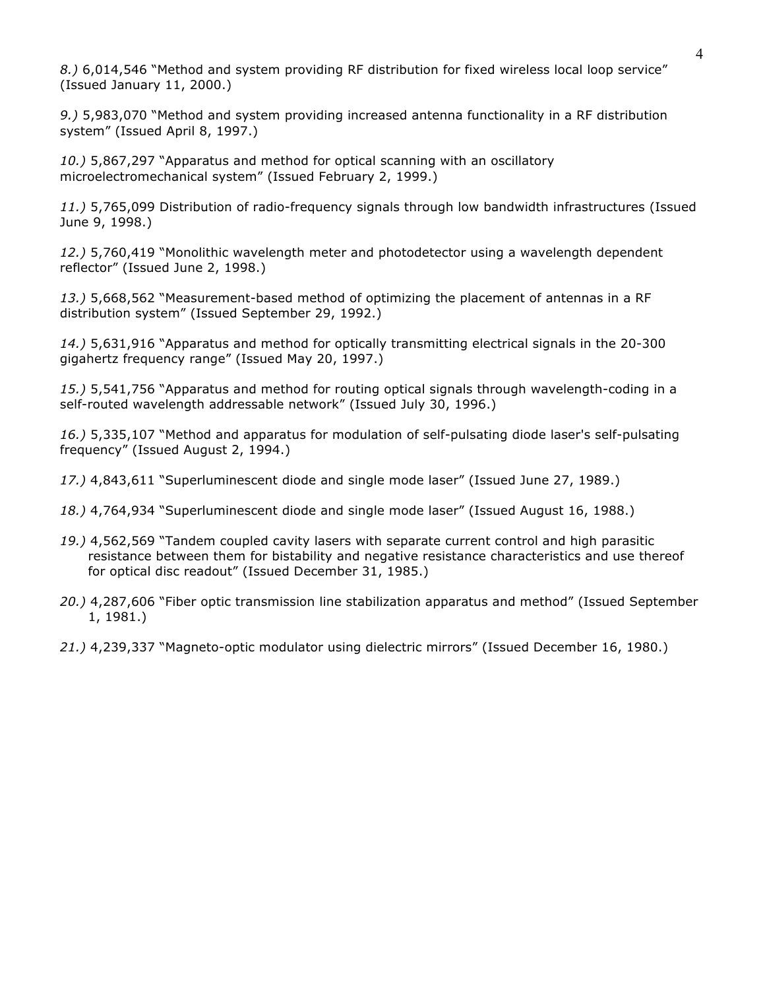*8.)* 6,014,546 "Method and system providing RF distribution for fixed wireless local loop service" (Issued January 11, 2000.)

*9.)* 5,983,070 "Method and system providing increased antenna functionality in a RF distribution system" (Issued April 8, 1997.)

*10.)* 5,867,297 "Apparatus and method for optical scanning with an oscillatory microelectromechanical system" (Issued February 2, 1999.)

*11.)* 5,765,099 Distribution of radio-frequency signals through low bandwidth infrastructures (Issued June 9, 1998.)

*12.)* 5,760,419 "Monolithic wavelength meter and photodetector using a wavelength dependent reflector" (Issued June 2, 1998.)

*13.)* 5,668,562 "Measurement-based method of optimizing the placement of antennas in a RF distribution system" (Issued September 29, 1992.)

*14.)* 5,631,916 "Apparatus and method for optically transmitting electrical signals in the 20-300 gigahertz frequency range" (Issued May 20, 1997.)

*15.)* 5,541,756 "Apparatus and method for routing optical signals through wavelength-coding in a self-routed wavelength addressable network" (Issued July 30, 1996.)

*16.)* 5,335,107 "Method and apparatus for modulation of self-pulsating diode laser's self-pulsating frequency" (Issued August 2, 1994.)

*17.)* 4,843,611 "Superluminescent diode and single mode laser" (Issued June 27, 1989.)

- *18.)* 4,764,934 "Superluminescent diode and single mode laser" (Issued August 16, 1988.)
- *19.)* 4,562,569 "Tandem coupled cavity lasers with separate current control and high parasitic resistance between them for bistability and negative resistance characteristics and use thereof for optical disc readout" (Issued December 31, 1985.)
- *20.)* 4,287,606 "Fiber optic transmission line stabilization apparatus and method" (Issued September 1, 1981.)

*21.)* 4,239,337 "Magneto-optic modulator using dielectric mirrors" (Issued December 16, 1980.)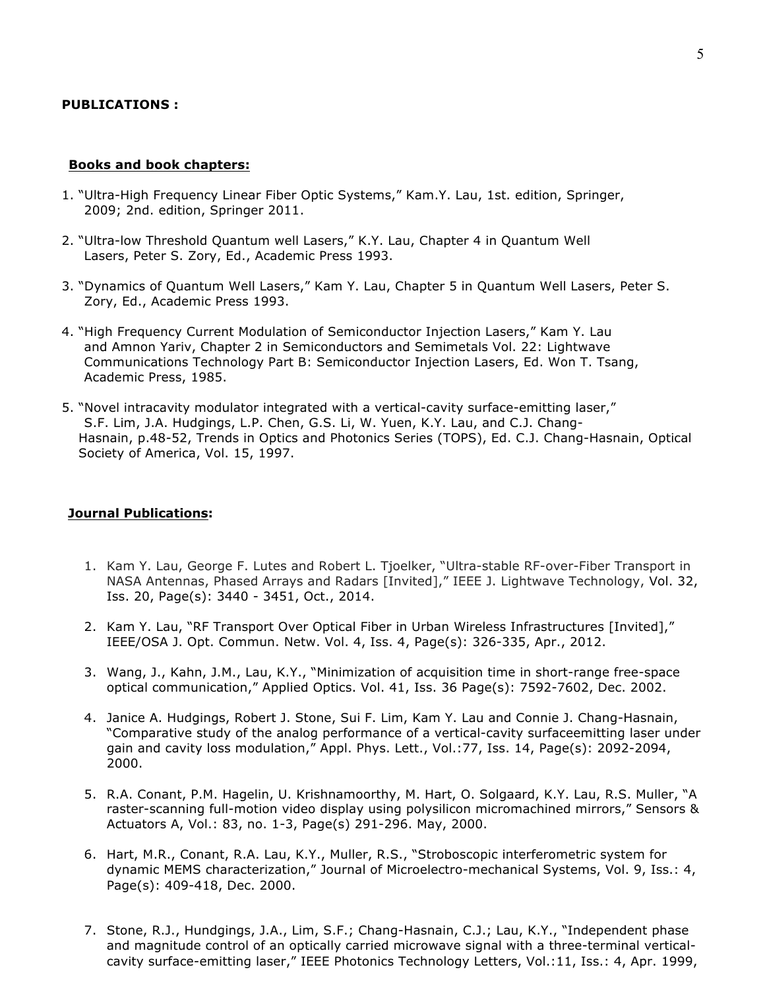#### **PUBLICATIONS :**

#### **Books and book chapters:**

- 1. "Ultra-High Frequency Linear Fiber Optic Systems," Kam.Y. Lau, 1st. edition, Springer, 2009; 2nd. edition, Springer 2011.
- 2. "Ultra-low Threshold Quantum well Lasers," K.Y. Lau, Chapter 4 in Quantum Well Lasers, Peter S. Zory, Ed., Academic Press 1993.
- 3. "Dynamics of Quantum Well Lasers," Kam Y. Lau, Chapter 5 in Quantum Well Lasers, Peter S. Zory, Ed., Academic Press 1993.
- 4. "High Frequency Current Modulation of Semiconductor Injection Lasers," Kam Y. Lau and Amnon Yariv, Chapter 2 in Semiconductors and Semimetals Vol. 22: Lightwave Communications Technology Part B: Semiconductor Injection Lasers, Ed. Won T. Tsang, Academic Press, 1985.
- 5. "Novel intracavity modulator integrated with a vertical-cavity surface-emitting laser," S.F. Lim, J.A. Hudgings, L.P. Chen, G.S. Li, W. Yuen, K.Y. Lau, and C.J. Chang-Hasnain, p.48-52, Trends in Optics and Photonics Series (TOPS), Ed. C.J. Chang-Hasnain, Optical Society of America, Vol. 15, 1997.

#### **Journal Publications:**

- 1. Kam Y. Lau, George F. Lutes and Robert L. Tjoelker, "Ultra-stable RF-over-Fiber Transport in NASA Antennas, Phased Arrays and Radars [Invited]," IEEE J. Lightwave Technology, Vol. 32, Iss. 20, Page(s): 3440 - 3451, Oct., 2014.
- 2. Kam Y. Lau, "RF Transport Over Optical Fiber in Urban Wireless Infrastructures [Invited]," IEEE/OSA J. Opt. Commun. Netw. Vol. 4, Iss. 4, Page(s): 326-335, Apr., 2012.
- 3. Wang, J., Kahn, J.M., Lau, K.Y., "Minimization of acquisition time in short-range free-space optical communication," Applied Optics. Vol. 41, Iss. 36 Page(s): 7592-7602, Dec. 2002.
- 4. Janice A. Hudgings, Robert J. Stone, Sui F. Lim, Kam Y. Lau and Connie J. Chang-Hasnain, "Comparative study of the analog performance of a vertical-cavity surfaceemitting laser under gain and cavity loss modulation," Appl. Phys. Lett., Vol.:77, Iss. 14, Page(s): 2092-2094, 2000.
- 5. R.A. Conant, P.M. Hagelin, U. Krishnamoorthy, M. Hart, O. Solgaard, K.Y. Lau, R.S. Muller, "A raster-scanning full-motion video display using polysilicon micromachined mirrors," Sensors & Actuators A, Vol.: 83, no. 1-3, Page(s) 291-296. May, 2000.
- 6. Hart, M.R., Conant, R.A. Lau, K.Y., Muller, R.S., "Stroboscopic interferometric system for dynamic MEMS characterization," Journal of Microelectro-mechanical Systems, Vol. 9, Iss.: 4, Page(s): 409-418, Dec. 2000.
- 7. Stone, R.J., Hundgings, J.A., Lim, S.F.; Chang-Hasnain, C.J.; Lau, K.Y., "Independent phase and magnitude control of an optically carried microwave signal with a three-terminal verticalcavity surface-emitting laser," IEEE Photonics Technology Letters, Vol.:11, Iss.: 4, Apr. 1999,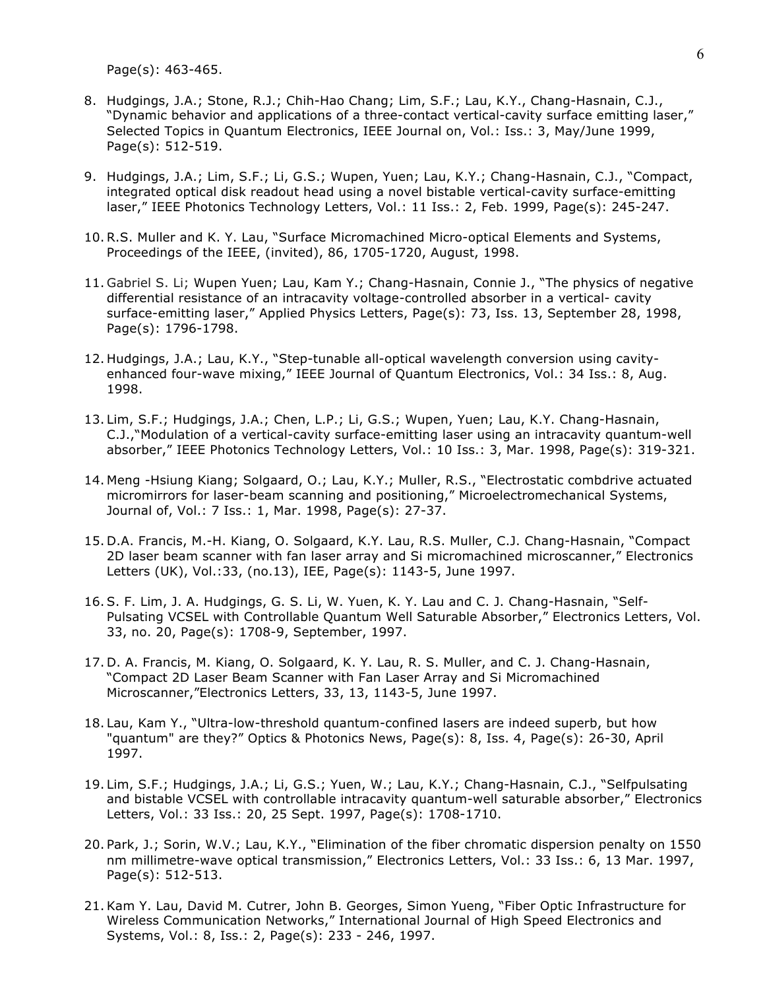Page(s): 463-465.

- 8. Hudgings, J.A.; Stone, R.J.; Chih-Hao Chang; Lim, S.F.; Lau, K.Y., Chang-Hasnain, C.J., "Dynamic behavior and applications of a three-contact vertical-cavity surface emitting laser," Selected Topics in Quantum Electronics, IEEE Journal on, Vol.: Iss.: 3, May/June 1999, Page(s): 512-519.
- 9. Hudgings, J.A.; Lim, S.F.; Li, G.S.; Wupen, Yuen; Lau, K.Y.; Chang-Hasnain, C.J., "Compact, integrated optical disk readout head using a novel bistable vertical-cavity surface-emitting laser," IEEE Photonics Technology Letters, Vol.: 11 Iss.: 2, Feb. 1999, Page(s): 245-247.
- 10.R.S. Muller and K. Y. Lau, "Surface Micromachined Micro-optical Elements and Systems, Proceedings of the IEEE, (invited), 86, 1705-1720, August, 1998.
- 11. Gabriel S. Li; Wupen Yuen; Lau, Kam Y.; Chang-Hasnain, Connie J., "The physics of negative differential resistance of an intracavity voltage-controlled absorber in a vertical- cavity surface-emitting laser," Applied Physics Letters, Page(s): 73, Iss. 13, September 28, 1998, Page(s): 1796-1798.
- 12. Hudgings, J.A.; Lau, K.Y., "Step-tunable all-optical wavelength conversion using cavityenhanced four-wave mixing," IEEE Journal of Quantum Electronics, Vol.: 34 Iss.: 8, Aug. 1998.
- 13. Lim, S.F.; Hudgings, J.A.; Chen, L.P.; Li, G.S.; Wupen, Yuen; Lau, K.Y. Chang-Hasnain, C.J.,"Modulation of a vertical-cavity surface-emitting laser using an intracavity quantum-well absorber," IEEE Photonics Technology Letters, Vol.: 10 Iss.: 3, Mar. 1998, Page(s): 319-321.
- 14. Meng -Hsiung Kiang; Solgaard, O.; Lau, K.Y.; Muller, R.S., "Electrostatic combdrive actuated micromirrors for laser-beam scanning and positioning," Microelectromechanical Systems, Journal of, Vol.: 7 Iss.: 1, Mar. 1998, Page(s): 27-37.
- 15. D.A. Francis, M.-H. Kiang, O. Solgaard, K.Y. Lau, R.S. Muller, C.J. Chang-Hasnain, "Compact 2D laser beam scanner with fan laser array and Si micromachined microscanner," Electronics Letters (UK), Vol.:33, (no.13), IEE, Page(s): 1143-5, June 1997.
- 16. S. F. Lim, J. A. Hudgings, G. S. Li, W. Yuen, K. Y. Lau and C. J. Chang-Hasnain, "Self-Pulsating VCSEL with Controllable Quantum Well Saturable Absorber," Electronics Letters, Vol. 33, no. 20, Page(s): 1708-9, September, 1997.
- 17. D. A. Francis, M. Kiang, O. Solgaard, K. Y. Lau, R. S. Muller, and C. J. Chang-Hasnain, "Compact 2D Laser Beam Scanner with Fan Laser Array and Si Micromachined Microscanner,"Electronics Letters, 33, 13, 1143-5, June 1997.
- 18. Lau, Kam Y., "Ultra-low-threshold quantum-confined lasers are indeed superb, but how "quantum" are they?" Optics & Photonics News, Page(s): 8, Iss. 4, Page(s): 26-30, April 1997.
- 19. Lim, S.F.; Hudgings, J.A.; Li, G.S.; Yuen, W.; Lau, K.Y.; Chang-Hasnain, C.J., "Selfpulsating and bistable VCSEL with controllable intracavity quantum-well saturable absorber," Electronics Letters, Vol.: 33 Iss.: 20, 25 Sept. 1997, Page(s): 1708-1710.
- 20. Park, J.; Sorin, W.V.; Lau, K.Y., "Elimination of the fiber chromatic dispersion penalty on 1550 nm millimetre-wave optical transmission," Electronics Letters, Vol.: 33 Iss.: 6, 13 Mar. 1997, Page(s): 512-513.
- 21.Kam Y. Lau, David M. Cutrer, John B. Georges, Simon Yueng, "Fiber Optic Infrastructure for Wireless Communication Networks," International Journal of High Speed Electronics and Systems, Vol.: 8, Iss.: 2, Page(s): 233 - 246, 1997.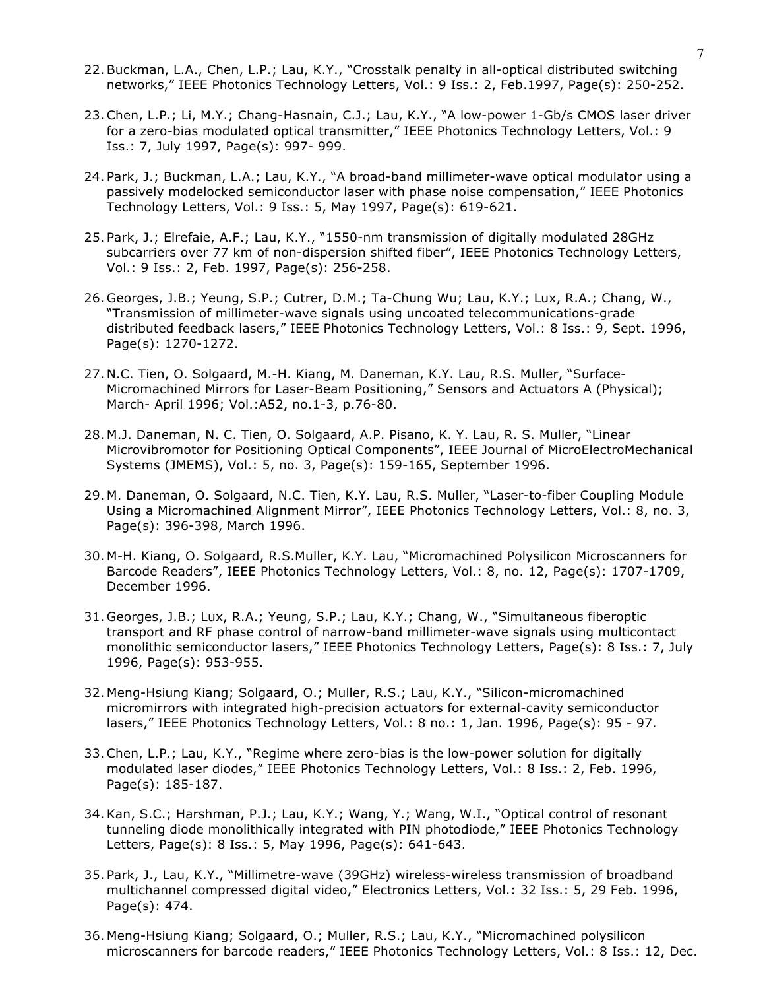- 22. Buckman, L.A., Chen, L.P.; Lau, K.Y., "Crosstalk penalty in all-optical distributed switching networks," IEEE Photonics Technology Letters, Vol.: 9 Iss.: 2, Feb.1997, Page(s): 250-252.
- 23.Chen, L.P.; Li, M.Y.; Chang-Hasnain, C.J.; Lau, K.Y., "A low-power 1-Gb/s CMOS laser driver for a zero-bias modulated optical transmitter," IEEE Photonics Technology Letters, Vol.: 9 Iss.: 7, July 1997, Page(s): 997- 999.
- 24. Park, J.; Buckman, L.A.; Lau, K.Y., "A broad-band millimeter-wave optical modulator using a passively modelocked semiconductor laser with phase noise compensation," IEEE Photonics Technology Letters, Vol.: 9 Iss.: 5, May 1997, Page(s): 619-621.
- 25. Park, J.; Elrefaie, A.F.; Lau, K.Y., "1550-nm transmission of digitally modulated 28GHz subcarriers over 77 km of non-dispersion shifted fiber", IEEE Photonics Technology Letters, Vol.: 9 Iss.: 2, Feb. 1997, Page(s): 256-258.
- 26. Georges, J.B.; Yeung, S.P.; Cutrer, D.M.; Ta-Chung Wu; Lau, K.Y.; Lux, R.A.; Chang, W., "Transmission of millimeter-wave signals using uncoated telecommunications-grade distributed feedback lasers," IEEE Photonics Technology Letters, Vol.: 8 Iss.: 9, Sept. 1996, Page(s): 1270-1272.
- 27. N.C. Tien, O. Solgaard, M.-H. Kiang, M. Daneman, K.Y. Lau, R.S. Muller, "Surface-Micromachined Mirrors for Laser-Beam Positioning," Sensors and Actuators A (Physical); March- April 1996; Vol.:A52, no.1-3, p.76-80.
- 28. M.J. Daneman, N. C. Tien, O. Solgaard, A.P. Pisano, K. Y. Lau, R. S. Muller, "Linear Microvibromotor for Positioning Optical Components", IEEE Journal of MicroElectroMechanical Systems (JMEMS), Vol.: 5, no. 3, Page(s): 159-165, September 1996.
- 29. M. Daneman, O. Solgaard, N.C. Tien, K.Y. Lau, R.S. Muller, "Laser-to-fiber Coupling Module Using a Micromachined Alignment Mirror", IEEE Photonics Technology Letters, Vol.: 8, no. 3, Page(s): 396-398, March 1996.
- 30. M-H. Kiang, O. Solgaard, R.S.Muller, K.Y. Lau, "Micromachined Polysilicon Microscanners for Barcode Readers", IEEE Photonics Technology Letters, Vol.: 8, no. 12, Page(s): 1707-1709, December 1996.
- 31. Georges, J.B.; Lux, R.A.; Yeung, S.P.; Lau, K.Y.; Chang, W., "Simultaneous fiberoptic transport and RF phase control of narrow-band millimeter-wave signals using multicontact monolithic semiconductor lasers," IEEE Photonics Technology Letters, Page(s): 8 Iss.: 7, July 1996, Page(s): 953-955.
- 32. Meng-Hsiung Kiang; Solgaard, O.; Muller, R.S.; Lau, K.Y., "Silicon-micromachined micromirrors with integrated high-precision actuators for external-cavity semiconductor lasers," IEEE Photonics Technology Letters, Vol.: 8 no.: 1, Jan. 1996, Page(s): 95 - 97.
- 33.Chen, L.P.; Lau, K.Y., "Regime where zero-bias is the low-power solution for digitally modulated laser diodes," IEEE Photonics Technology Letters, Vol.: 8 Iss.: 2, Feb. 1996, Page(s): 185-187.
- 34.Kan, S.C.; Harshman, P.J.; Lau, K.Y.; Wang, Y.; Wang, W.I., "Optical control of resonant tunneling diode monolithically integrated with PIN photodiode," IEEE Photonics Technology Letters, Page(s): 8 Iss.: 5, May 1996, Page(s): 641-643.
- 35. Park, J., Lau, K.Y., "Millimetre-wave (39GHz) wireless-wireless transmission of broadband multichannel compressed digital video," Electronics Letters, Vol.: 32 Iss.: 5, 29 Feb. 1996, Page(s): 474.
- 36. Meng-Hsiung Kiang; Solgaard, O.; Muller, R.S.; Lau, K.Y., "Micromachined polysilicon microscanners for barcode readers," IEEE Photonics Technology Letters, Vol.: 8 Iss.: 12, Dec.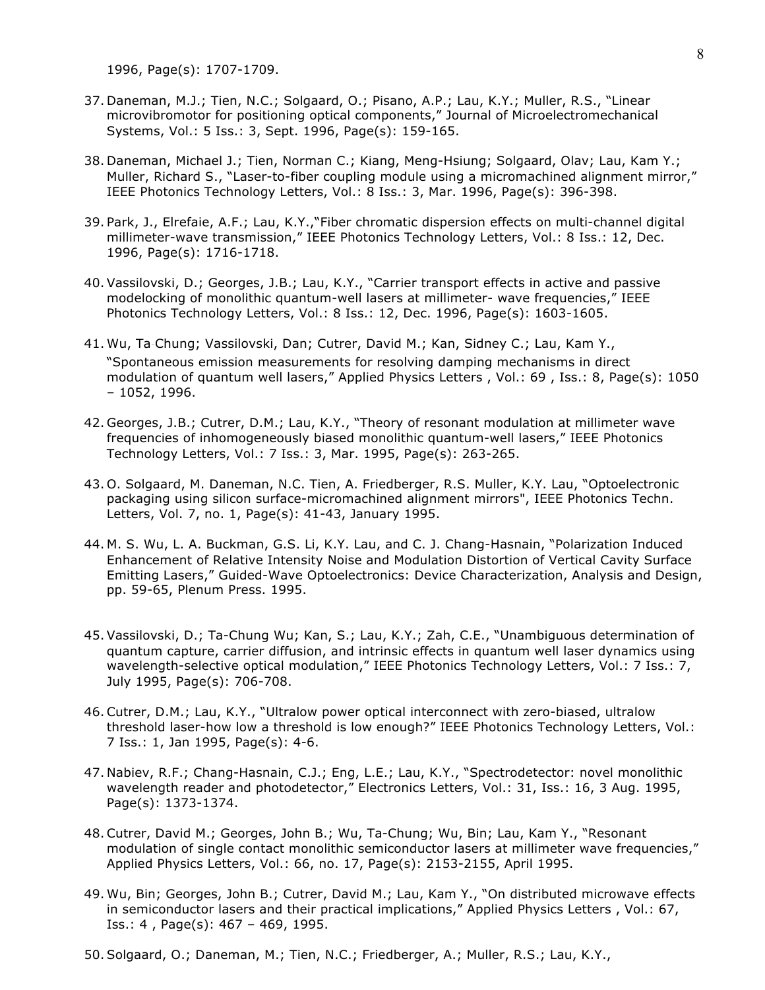1996, Page(s): 1707-1709.

- 37. Daneman, M.J.; Tien, N.C.; Solgaard, O.; Pisano, A.P.; Lau, K.Y.; Muller, R.S., "Linear microvibromotor for positioning optical components," Journal of Microelectromechanical Systems, Vol.: 5 Iss.: 3, Sept. 1996, Page(s): 159-165.
- 38. Daneman, Michael J.; Tien, Norman C.; Kiang, Meng-Hsiung; Solgaard, Olav; Lau, Kam Y.; Muller, Richard S., "Laser-to-fiber coupling module using a micromachined alignment mirror," IEEE Photonics Technology Letters, Vol.: 8 Iss.: 3, Mar. 1996, Page(s): 396-398.
- 39. Park, J., Elrefaie, A.F.; Lau, K.Y.,"Fiber chromatic dispersion effects on multi-channel digital millimeter-wave transmission," IEEE Photonics Technology Letters, Vol.: 8 Iss.: 12, Dec. 1996, Page(s): 1716-1718.
- 40. Vassilovski, D.; Georges, J.B.; Lau, K.Y., "Carrier transport effects in active and passive modelocking of monolithic quantum-well lasers at millimeter- wave frequencies," IEEE Photonics Technology Letters, Vol.: 8 Iss.: 12, Dec. 1996, Page(s): 1603-1605.
- 41. Wu, Ta‐Chung; Vassilovski, Dan; Cutrer, David M.; Kan, Sidney C.; Lau, Kam Y., "Spontaneous emission measurements for resolving damping mechanisms in direct modulation of quantum well lasers," Applied Physics Letters , Vol.: 69 , Iss.: 8, Page(s): 1050 – 1052, 1996.
- 42. Georges, J.B.; Cutrer, D.M.; Lau, K.Y., "Theory of resonant modulation at millimeter wave frequencies of inhomogeneously biased monolithic quantum-well lasers," IEEE Photonics Technology Letters, Vol.: 7 Iss.: 3, Mar. 1995, Page(s): 263-265.
- 43. O. Solgaard, M. Daneman, N.C. Tien, A. Friedberger, R.S. Muller, K.Y. Lau, "Optoelectronic packaging using silicon surface-micromachined alignment mirrors", IEEE Photonics Techn. Letters, Vol. 7, no. 1, Page(s): 41-43, January 1995.
- 44. M. S. Wu, L. A. Buckman, G.S. Li, K.Y. Lau, and C. J. Chang-Hasnain, "Polarization Induced Enhancement of Relative Intensity Noise and Modulation Distortion of Vertical Cavity Surface Emitting Lasers," Guided-Wave Optoelectronics: Device Characterization, Analysis and Design, pp. 59-65, Plenum Press. 1995.
- 45. Vassilovski, D.; Ta-Chung Wu; Kan, S.; Lau, K.Y.; Zah, C.E., "Unambiguous determination of quantum capture, carrier diffusion, and intrinsic effects in quantum well laser dynamics using wavelength-selective optical modulation," IEEE Photonics Technology Letters, Vol.: 7 Iss.: 7, July 1995, Page(s): 706-708.
- 46.Cutrer, D.M.; Lau, K.Y., "Ultralow power optical interconnect with zero-biased, ultralow threshold laser-how low a threshold is low enough?" IEEE Photonics Technology Letters, Vol.: 7 Iss.: 1, Jan 1995, Page(s): 4-6.
- 47. Nabiev, R.F.; Chang-Hasnain, C.J.; Eng, L.E.; Lau, K.Y., "Spectrodetector: novel monolithic wavelength reader and photodetector," Electronics Letters, Vol.: 31, Iss.: 16, 3 Aug. 1995, Page(s): 1373-1374.
- 48.Cutrer, David M.; Georges, John B.; Wu, Ta-Chung; Wu, Bin; Lau, Kam Y., "Resonant modulation of single contact monolithic semiconductor lasers at millimeter wave frequencies," Applied Physics Letters, Vol.: 66, no. 17, Page(s): 2153-2155, April 1995.
- 49. Wu, Bin; Georges, John B.; Cutrer, David M.; Lau, Kam Y., "On distributed microwave effects in semiconductor lasers and their practical implications," Applied Physics Letters , Vol.: 67, Iss.: 4 , Page(s): 467 – 469, 1995.
- 50. Solgaard, O.; Daneman, M.; Tien, N.C.; Friedberger, A.; Muller, R.S.; Lau, K.Y.,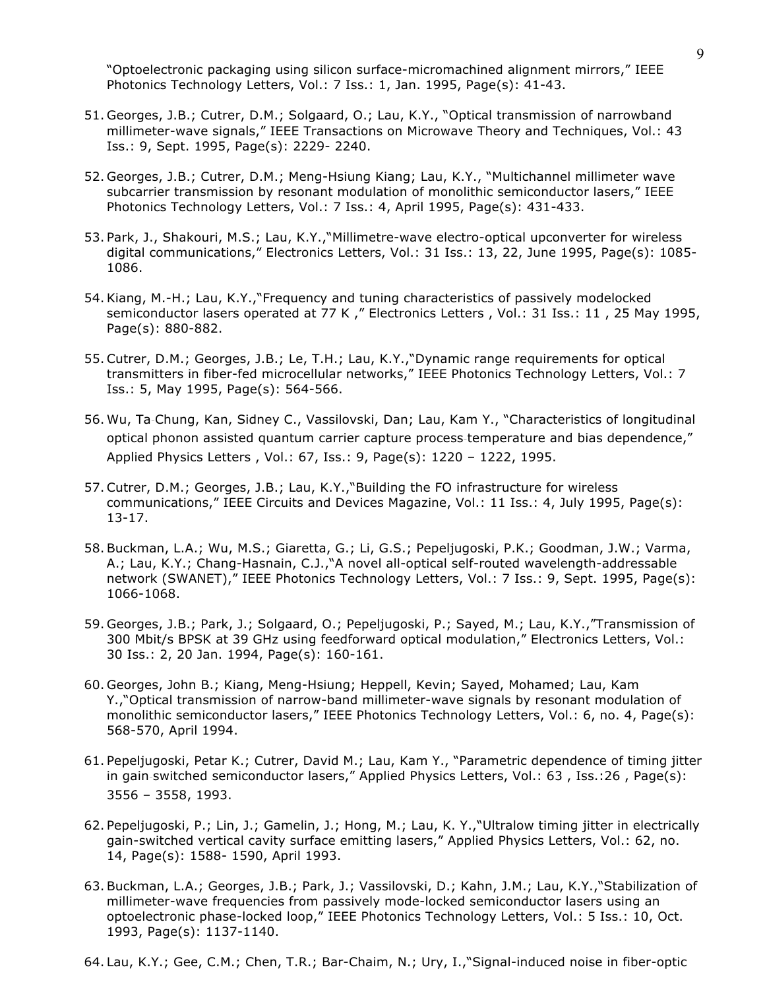"Optoelectronic packaging using silicon surface-micromachined alignment mirrors," IEEE Photonics Technology Letters, Vol.: 7 Iss.: 1, Jan. 1995, Page(s): 41-43.

- 51. Georges, J.B.; Cutrer, D.M.; Solgaard, O.; Lau, K.Y., "Optical transmission of narrowband millimeter-wave signals," IEEE Transactions on Microwave Theory and Techniques, Vol.: 43 Iss.: 9, Sept. 1995, Page(s): 2229- 2240.
- 52. Georges, J.B.; Cutrer, D.M.; Meng-Hsiung Kiang; Lau, K.Y., "Multichannel millimeter wave subcarrier transmission by resonant modulation of monolithic semiconductor lasers," IEEE Photonics Technology Letters, Vol.: 7 Iss.: 4, April 1995, Page(s): 431-433.
- 53. Park, J., Shakouri, M.S.; Lau, K.Y.,"Millimetre-wave electro-optical upconverter for wireless digital communications," Electronics Letters, Vol.: 31 Iss.: 13, 22, June 1995, Page(s): 1085- 1086.
- 54.Kiang, M.-H.; Lau, K.Y.,"Frequency and tuning characteristics of passively modelocked semiconductor lasers operated at 77 K, " Electronics Letters, Vol.: 31 Iss.: 11, 25 May 1995, Page(s): 880-882.
- 55.Cutrer, D.M.; Georges, J.B.; Le, T.H.; Lau, K.Y.,"Dynamic range requirements for optical transmitters in fiber-fed microcellular networks," IEEE Photonics Technology Letters, Vol.: 7 Iss.: 5, May 1995, Page(s): 564-566.
- 56. Wu, Ta‐Chung, Kan, Sidney C., Vassilovski, Dan; Lau, Kam Y., "Characteristics of longitudinal optical phonon assisted quantum carrier capture process‐temperature and bias dependence," Applied Physics Letters , Vol.: 67, Iss.: 9, Page(s): 1220 – 1222, 1995.
- 57.Cutrer, D.M.; Georges, J.B.; Lau, K.Y.,"Building the FO infrastructure for wireless communications," IEEE Circuits and Devices Magazine, Vol.: 11 Iss.: 4, July 1995, Page(s): 13-17.
- 58. Buckman, L.A.; Wu, M.S.; Giaretta, G.; Li, G.S.; Pepeljugoski, P.K.; Goodman, J.W.; Varma, A.; Lau, K.Y.; Chang-Hasnain, C.J.,"A novel all-optical self-routed wavelength-addressable network (SWANET)," IEEE Photonics Technology Letters, Vol.: 7 Iss.: 9, Sept. 1995, Page(s): 1066-1068.
- 59. Georges, J.B.; Park, J.; Solgaard, O.; Pepeljugoski, P.; Sayed, M.; Lau, K.Y.,"Transmission of 300 Mbit/s BPSK at 39 GHz using feedforward optical modulation," Electronics Letters, Vol.: 30 Iss.: 2, 20 Jan. 1994, Page(s): 160-161.
- 60. Georges, John B.; Kiang, Meng-Hsiung; Heppell, Kevin; Sayed, Mohamed; Lau, Kam Y.,"Optical transmission of narrow-band millimeter-wave signals by resonant modulation of monolithic semiconductor lasers," IEEE Photonics Technology Letters, Vol.: 6, no. 4, Page(s): 568-570, April 1994.
- 61. Pepeljugoski, Petar K.; Cutrer, David M.; Lau, Kam Y., "Parametric dependence of timing jitter in gain‐switched semiconductor lasers," Applied Physics Letters, Vol.: 63 , Iss.:26 , Page(s): 3556 – 3558, 1993.
- 62. Pepeljugoski, P.; Lin, J.; Gamelin, J.; Hong, M.; Lau, K. Y.,"Ultralow timing jitter in electrically gain-switched vertical cavity surface emitting lasers," Applied Physics Letters, Vol.: 62, no. 14, Page(s): 1588- 1590, April 1993.
- 63. Buckman, L.A.; Georges, J.B.; Park, J.; Vassilovski, D.; Kahn, J.M.; Lau, K.Y.,"Stabilization of millimeter-wave frequencies from passively mode-locked semiconductor lasers using an optoelectronic phase-locked loop," IEEE Photonics Technology Letters, Vol.: 5 Iss.: 10, Oct. 1993, Page(s): 1137-1140.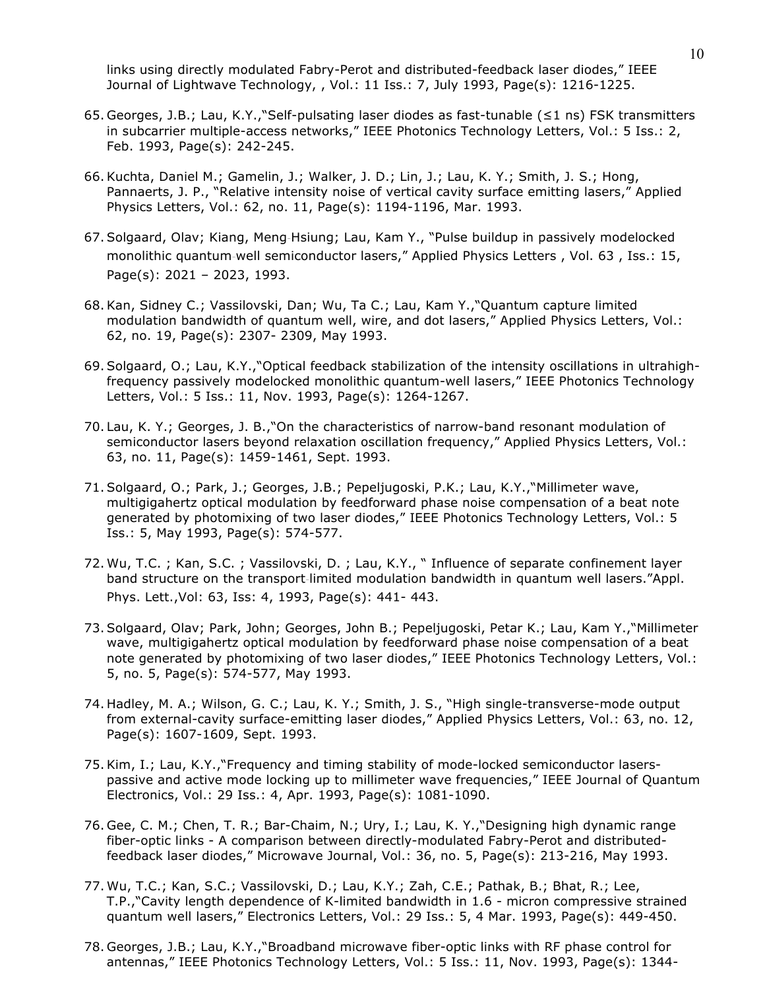links using directly modulated Fabry-Perot and distributed-feedback laser diodes," IEEE Journal of Lightwave Technology, , Vol.: 11 Iss.: 7, July 1993, Page(s): 1216-1225.

- 65. Georges, J.B.; Lau, K.Y.,"Self-pulsating laser diodes as fast-tunable (≤1 ns) FSK transmitters in subcarrier multiple-access networks," IEEE Photonics Technology Letters, Vol.: 5 Iss.: 2, Feb. 1993, Page(s): 242-245.
- 66.Kuchta, Daniel M.; Gamelin, J.; Walker, J. D.; Lin, J.; Lau, K. Y.; Smith, J. S.; Hong, Pannaerts, J. P., "Relative intensity noise of vertical cavity surface emitting lasers," Applied Physics Letters, Vol.: 62, no. 11, Page(s): 1194-1196, Mar. 1993.
- 67. Solgaard, Olav; Kiang, Meng‐Hsiung; Lau, Kam Y., "Pulse buildup in passively modelocked monolithic quantum‐well semiconductor lasers," Applied Physics Letters , Vol. 63 , Iss.: 15, Page(s): 2021 – 2023, 1993.
- 68.Kan, Sidney C.; Vassilovski, Dan; Wu, Ta C.; Lau, Kam Y.,"Quantum capture limited modulation bandwidth of quantum well, wire, and dot lasers," Applied Physics Letters, Vol.: 62, no. 19, Page(s): 2307- 2309, May 1993.
- 69. Solgaard, O.; Lau, K.Y.,"Optical feedback stabilization of the intensity oscillations in ultrahighfrequency passively modelocked monolithic quantum-well lasers," IEEE Photonics Technology Letters, Vol.: 5 Iss.: 11, Nov. 1993, Page(s): 1264-1267.
- 70. Lau, K. Y.; Georges, J. B.,"On the characteristics of narrow-band resonant modulation of semiconductor lasers beyond relaxation oscillation frequency," Applied Physics Letters, Vol.: 63, no. 11, Page(s): 1459-1461, Sept. 1993.
- 71. Solgaard, O.; Park, J.; Georges, J.B.; Pepeljugoski, P.K.; Lau, K.Y.,"Millimeter wave, multigigahertz optical modulation by feedforward phase noise compensation of a beat note generated by photomixing of two laser diodes," IEEE Photonics Technology Letters, Vol.: 5 Iss.: 5, May 1993, Page(s): 574-577.
- 72. Wu, T.C. ; Kan, S.C. ; Vassilovski, D. ; Lau, K.Y., " Influence of separate confinement layer band structure on the transport‐limited modulation bandwidth in quantum well lasers."Appl. Phys. Lett.,Vol: 63, Iss: 4, 1993, Page(s): 441- 443.
- 73. Solgaard, Olav; Park, John; Georges, John B.; Pepeljugoski, Petar K.; Lau, Kam Y.,"Millimeter wave, multigigahertz optical modulation by feedforward phase noise compensation of a beat note generated by photomixing of two laser diodes," IEEE Photonics Technology Letters, Vol.: 5, no. 5, Page(s): 574-577, May 1993.
- 74. Hadley, M. A.; Wilson, G. C.; Lau, K. Y.; Smith, J. S., "High single-transverse-mode output from external-cavity surface-emitting laser diodes," Applied Physics Letters, Vol.: 63, no. 12, Page(s): 1607-1609, Sept. 1993.
- 75.Kim, I.; Lau, K.Y.,"Frequency and timing stability of mode-locked semiconductor laserspassive and active mode locking up to millimeter wave frequencies," IEEE Journal of Quantum Electronics, Vol.: 29 Iss.: 4, Apr. 1993, Page(s): 1081-1090.
- 76. Gee, C. M.; Chen, T. R.; Bar-Chaim, N.; Ury, I.; Lau, K. Y.,"Designing high dynamic range fiber-optic links - A comparison between directly-modulated Fabry-Perot and distributedfeedback laser diodes," Microwave Journal, Vol.: 36, no. 5, Page(s): 213-216, May 1993.
- 77. Wu, T.C.; Kan, S.C.; Vassilovski, D.; Lau, K.Y.; Zah, C.E.; Pathak, B.; Bhat, R.; Lee, T.P.,"Cavity length dependence of K-limited bandwidth in 1.6 - micron compressive strained quantum well lasers," Electronics Letters, Vol.: 29 Iss.: 5, 4 Mar. 1993, Page(s): 449-450.
- 78. Georges, J.B.; Lau, K.Y.,"Broadband microwave fiber-optic links with RF phase control for antennas," IEEE Photonics Technology Letters, Vol.: 5 Iss.: 11, Nov. 1993, Page(s): 1344-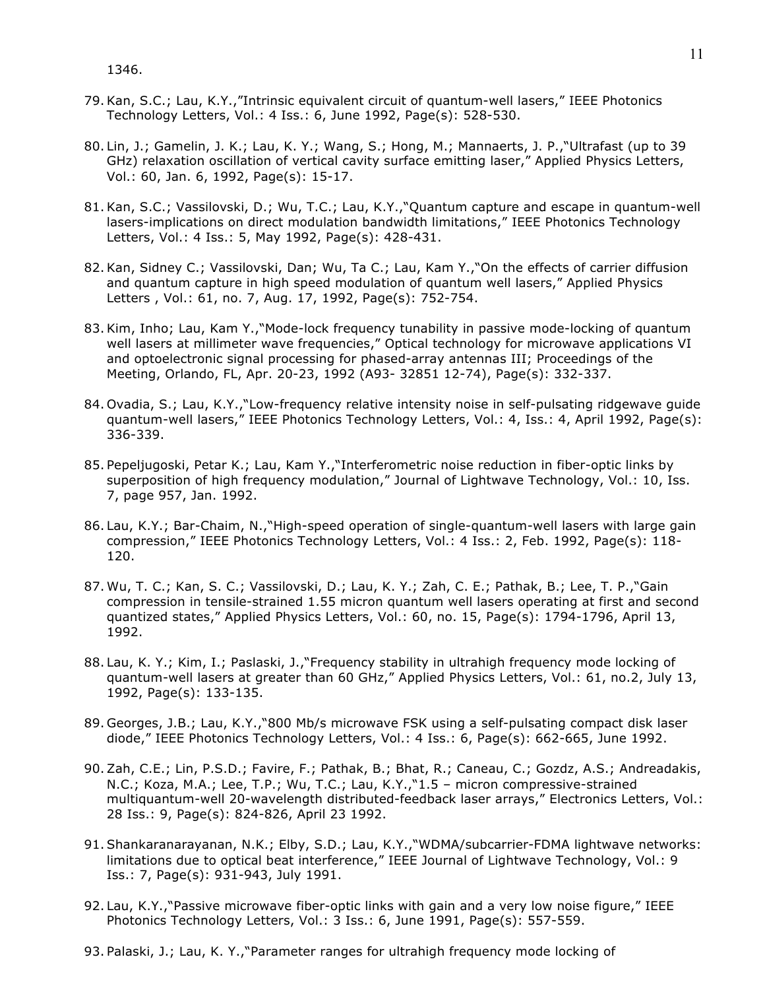- 79.Kan, S.C.; Lau, K.Y.,"Intrinsic equivalent circuit of quantum-well lasers," IEEE Photonics Technology Letters, Vol.: 4 Iss.: 6, June 1992, Page(s): 528-530.
- 80. Lin, J.; Gamelin, J. K.; Lau, K. Y.; Wang, S.; Hong, M.; Mannaerts, J. P.,"Ultrafast (up to 39 GHz) relaxation oscillation of vertical cavity surface emitting laser," Applied Physics Letters, Vol.: 60, Jan. 6, 1992, Page(s): 15-17.
- 81.Kan, S.C.; Vassilovski, D.; Wu, T.C.; Lau, K.Y.,"Quantum capture and escape in quantum-well lasers-implications on direct modulation bandwidth limitations," IEEE Photonics Technology Letters, Vol.: 4 Iss.: 5, May 1992, Page(s): 428-431.
- 82.Kan, Sidney C.; Vassilovski, Dan; Wu, Ta C.; Lau, Kam Y.,"On the effects of carrier diffusion and quantum capture in high speed modulation of quantum well lasers," Applied Physics Letters , Vol.: 61, no. 7, Aug. 17, 1992, Page(s): 752-754.
- 83.Kim, Inho; Lau, Kam Y.,"Mode-lock frequency tunability in passive mode-locking of quantum well lasers at millimeter wave frequencies," Optical technology for microwave applications VI and optoelectronic signal processing for phased-array antennas III; Proceedings of the Meeting, Orlando, FL, Apr. 20-23, 1992 (A93- 32851 12-74), Page(s): 332-337.
- 84. Ovadia, S.; Lau, K.Y.,"Low-frequency relative intensity noise in self-pulsating ridgewave guide quantum-well lasers," IEEE Photonics Technology Letters, Vol.: 4, Iss.: 4, April 1992, Page(s): 336-339.
- 85. Pepeljugoski, Petar K.; Lau, Kam Y.,"Interferometric noise reduction in fiber-optic links by superposition of high frequency modulation," Journal of Lightwave Technology, Vol.: 10, Iss. 7, page 957, Jan. 1992.
- 86. Lau, K.Y.; Bar-Chaim, N.,"High-speed operation of single-quantum-well lasers with large gain compression," IEEE Photonics Technology Letters, Vol.: 4 Iss.: 2, Feb. 1992, Page(s): 118- 120.
- 87. Wu, T. C.; Kan, S. C.; Vassilovski, D.; Lau, K. Y.; Zah, C. E.; Pathak, B.; Lee, T. P.,"Gain compression in tensile-strained 1.55 micron quantum well lasers operating at first and second quantized states," Applied Physics Letters, Vol.: 60, no. 15, Page(s): 1794-1796, April 13, 1992.
- 88. Lau, K. Y.; Kim, I.; Paslaski, J.,"Frequency stability in ultrahigh frequency mode locking of quantum-well lasers at greater than 60 GHz," Applied Physics Letters, Vol.: 61, no.2, July 13, 1992, Page(s): 133-135.
- 89. Georges, J.B.; Lau, K.Y.,"800 Mb/s microwave FSK using a self-pulsating compact disk laser diode," IEEE Photonics Technology Letters, Vol.: 4 Iss.: 6, Page(s): 662-665, June 1992.
- 90. Zah, C.E.; Lin, P.S.D.; Favire, F.; Pathak, B.; Bhat, R.; Caneau, C.; Gozdz, A.S.; Andreadakis, N.C.; Koza, M.A.; Lee, T.P.; Wu, T.C.; Lau, K.Y.,"1.5 – micron compressive-strained multiquantum-well 20-wavelength distributed-feedback laser arrays," Electronics Letters, Vol.: 28 Iss.: 9, Page(s): 824-826, April 23 1992.
- 91. Shankaranarayanan, N.K.; Elby, S.D.; Lau, K.Y.,"WDMA/subcarrier-FDMA lightwave networks: limitations due to optical beat interference," IEEE Journal of Lightwave Technology, Vol.: 9 Iss.: 7, Page(s): 931-943, July 1991.
- 92. Lau, K.Y.,"Passive microwave fiber-optic links with gain and a very low noise figure," IEEE Photonics Technology Letters, Vol.: 3 Iss.: 6, June 1991, Page(s): 557-559.
- 93. Palaski, J.; Lau, K. Y.,"Parameter ranges for ultrahigh frequency mode locking of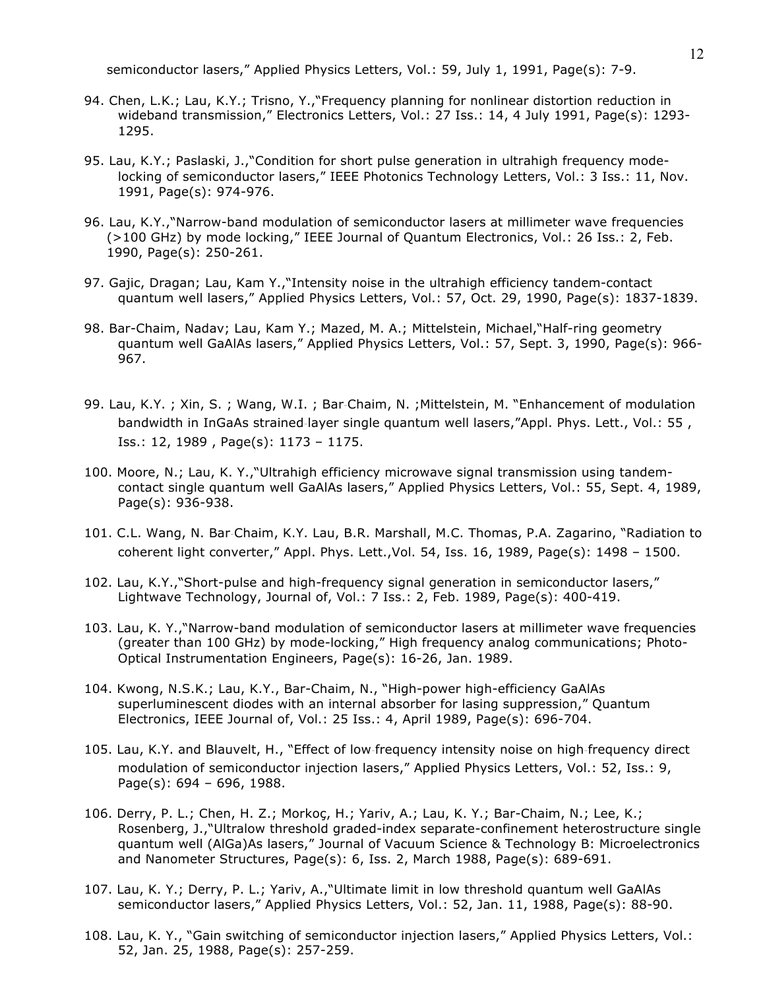semiconductor lasers," Applied Physics Letters, Vol.: 59, July 1, 1991, Page(s): 7-9.

- 94. Chen, L.K.; Lau, K.Y.; Trisno, Y.,"Frequency planning for nonlinear distortion reduction in wideband transmission," Electronics Letters, Vol.: 27 Iss.: 14, 4 July 1991, Page(s): 1293- 1295.
- 95. Lau, K.Y.; Paslaski, J.,"Condition for short pulse generation in ultrahigh frequency modelocking of semiconductor lasers," IEEE Photonics Technology Letters, Vol.: 3 Iss.: 11, Nov. 1991, Page(s): 974-976.
- 96. Lau, K.Y.,"Narrow-band modulation of semiconductor lasers at millimeter wave frequencies (>100 GHz) by mode locking," IEEE Journal of Quantum Electronics, Vol.: 26 Iss.: 2, Feb. 1990, Page(s): 250-261.
- 97. Gajic, Dragan; Lau, Kam Y.,"Intensity noise in the ultrahigh efficiency tandem-contact quantum well lasers," Applied Physics Letters, Vol.: 57, Oct. 29, 1990, Page(s): 1837-1839.
- 98. Bar-Chaim, Nadav; Lau, Kam Y.; Mazed, M. A.; Mittelstein, Michael,"Half-ring geometry quantum well GaAlAs lasers," Applied Physics Letters, Vol.: 57, Sept. 3, 1990, Page(s): 966- 967.
- 99. Lau, K.Y. ; Xin, S. ; Wang, W.I. ; Bar-Chaim, N. ; Mittelstein, M. "Enhancement of modulation bandwidth in InGaAs strained-layer single quantum well lasers,"Appl. Phys. Lett., Vol.: 55, Iss.: 12, 1989 , Page(s): 1173 – 1175.
- 100. Moore, N.; Lau, K. Y.,"Ultrahigh efficiency microwave signal transmission using tandemcontact single quantum well GaAlAs lasers," Applied Physics Letters, Vol.: 55, Sept. 4, 1989, Page(s): 936-938.
- 101. C.L. Wang, N. Bar‐Chaim, K.Y. Lau, B.R. Marshall, M.C. Thomas, P.A. Zagarino, "Radiation to coherent light converter," Appl. Phys. Lett.,Vol. 54, Iss. 16, 1989, Page(s): 1498 – 1500.
- 102. Lau, K.Y.,"Short-pulse and high-frequency signal generation in semiconductor lasers," Lightwave Technology, Journal of, Vol.: 7 Iss.: 2, Feb. 1989, Page(s): 400-419.
- 103. Lau, K. Y.,"Narrow-band modulation of semiconductor lasers at millimeter wave frequencies (greater than 100 GHz) by mode-locking," High frequency analog communications; Photo-Optical Instrumentation Engineers, Page(s): 16-26, Jan. 1989.
- 104. Kwong, N.S.K.; Lau, K.Y., Bar-Chaim, N., "High-power high-efficiency GaAlAs superluminescent diodes with an internal absorber for lasing suppression," Quantum Electronics, IEEE Journal of, Vol.: 25 Iss.: 4, April 1989, Page(s): 696-704.
- 105. Lau, K.Y. and Blauvelt, H., "Effect of low‐frequency intensity noise on high‐frequency direct modulation of semiconductor injection lasers," Applied Physics Letters, Vol.: 52, Iss.: 9, Page(s): 694 – 696, 1988.
- 106. Derry, P. L.; Chen, H. Z.; Morkoç, H.; Yariv, A.; Lau, K. Y.; Bar-Chaim, N.; Lee, K.; Rosenberg, J.,"Ultralow threshold graded-index separate-confinement heterostructure single quantum well (AlGa)As lasers," Journal of Vacuum Science & Technology B: Microelectronics and Nanometer Structures, Page(s): 6, Iss. 2, March 1988, Page(s): 689-691.
- 107. Lau, K. Y.; Derry, P. L.; Yariv, A.,"Ultimate limit in low threshold quantum well GaAlAs semiconductor lasers," Applied Physics Letters, Vol.: 52, Jan. 11, 1988, Page(s): 88-90.
- 108. Lau, K. Y., "Gain switching of semiconductor injection lasers," Applied Physics Letters, Vol.: 52, Jan. 25, 1988, Page(s): 257-259.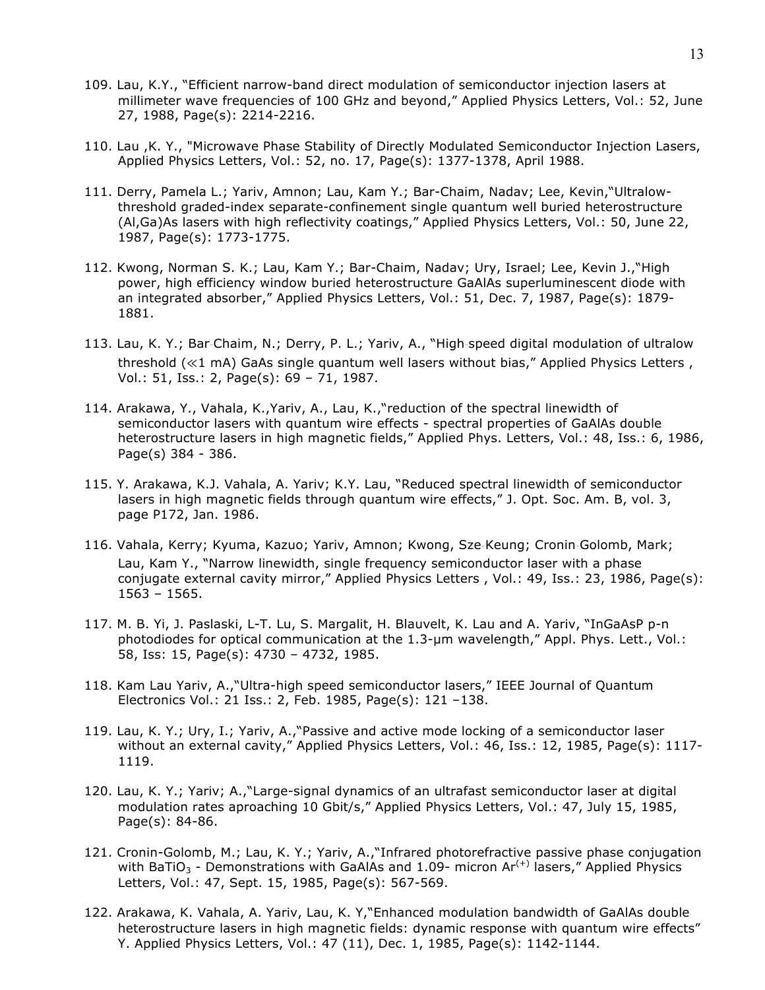- 109. Lau, K.Y., "Efficient narrow-band direct modulation of semiconductor injection lasers at millimeter wave frequencies of 100 GHz and beyond," Applied Physics Letters, Vol.: 52, June 27, 1988, Page(s): 2214-2216.
- 110. Lau ,K. Y., "Microwave Phase Stability of Directly Modulated Semiconductor Injection Lasers, Applied Physics Letters, Vol.: 52, no. 17, Page(s): 1377-1378, April 1988.
- 111. Derry, Pamela L.; Yariv, Amnon; Lau, Kam Y.; Bar-Chaim, Nadav; Lee, Kevin,"Ultralowthreshold graded-index separate-confinement single quantum well buried heterostructure (Al,Ga)As lasers with high reflectivity coatings," Applied Physics Letters, Vol.: 50, June 22, 1987, Page(s): 1773-1775.
- 112. Kwong, Norman S. K.; Lau, Kam Y.; Bar-Chaim, Nadav; Ury, Israel; Lee, Kevin J.,"High power, high efficiency window buried heterostructure GaAlAs superluminescent diode with an integrated absorber," Applied Physics Letters, Vol.: 51, Dec. 7, 1987, Page(s): 1879- 1881.
- 113. Lau, K. Y.; Bar‐Chaim, N.; Derry, P. L.; Yariv, A., "High‐speed digital modulation of ultralow threshold (≪1 mA) GaAs single quantum well lasers without bias," Applied Physics Letters , Vol.: 51, Iss.: 2, Page(s): 69 – 71, 1987.
- 114. Arakawa, Y., Vahala, K.,Yariv, A., Lau, K.,"reduction of the spectral linewidth of semiconductor lasers with quantum wire effects - spectral properties of GaAlAs double heterostructure lasers in high magnetic fields," Applied Phys. Letters, Vol.: 48, Iss.: 6, 1986, Page(s) 384 - 386.
- 115. Y. Arakawa, K.J. Vahala, A. Yariv; K.Y. Lau, "Reduced spectral linewidth of semiconductor lasers in high magnetic fields through quantum wire effects," J. Opt. Soc. Am. B, vol. 3, page P172, Jan. 1986.
- 116. Vahala, Kerry; Kyuma, Kazuo; Yariv, Amnon; Kwong, Sze‐Keung; Cronin‐Golomb, Mark; Lau, Kam Y., "Narrow linewidth, single frequency semiconductor laser with a phase conjugate external cavity mirror," Applied Physics Letters , Vol.: 49, Iss.: 23, 1986, Page(s): 1563 – 1565.
- 117. M. B. Yi, J. Paslaski, L-T. Lu, S. Margalit, H. Blauvelt, K. Lau and A. Yariv, "InGaAsP p-n photodiodes for optical communication at the 1.3-µm wavelength," Appl. Phys. Lett., Vol.: 58, Iss: 15, Page(s): 4730 – 4732, 1985.
- 118. Kam Lau Yariv, A.,"Ultra-high speed semiconductor lasers," IEEE Journal of Quantum Electronics Vol.: 21 Iss.: 2, Feb. 1985, Page(s): 121 –138.
- 119. Lau, K. Y.; Ury, I.; Yariv, A.,"Passive and active mode locking of a semiconductor laser without an external cavity," Applied Physics Letters, Vol.: 46, Iss.: 12, 1985, Page(s): 1117-1119.
- 120. Lau, K. Y.; Yariv; A.,"Large-signal dynamics of an ultrafast semiconductor laser at digital modulation rates aproaching 10 Gbit/s," Applied Physics Letters, Vol.: 47, July 15, 1985, Page(s): 84-86.
- 121. Cronin-Golomb, M.; Lau, K. Y.; Yariv, A.,"Infrared photorefractive passive phase conjugation with BaTiO<sub>3</sub> - Demonstrations with GaAlAs and 1.09- micron  $Ar^{(+)}$  lasers," Applied Physics Letters, Vol.: 47, Sept. 15, 1985, Page(s): 567-569.
- 122. Arakawa, K. Vahala, A. Yariv, Lau, K. Y,"Enhanced modulation bandwidth of GaAlAs double heterostructure lasers in high magnetic fields: dynamic response with quantum wire effects" Y. Applied Physics Letters, Vol.: 47 (11), Dec. 1, 1985, Page(s): 1142-1144.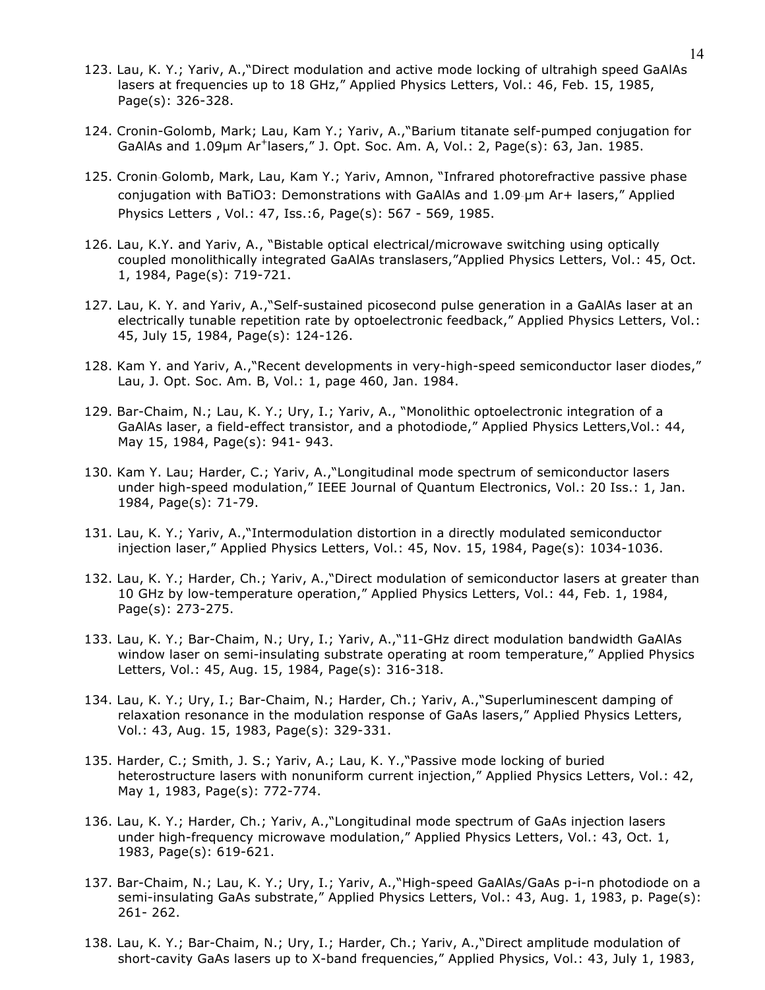- 123. Lau, K. Y.; Yariv, A.,"Direct modulation and active mode locking of ultrahigh speed GaAlAs lasers at frequencies up to 18 GHz," Applied Physics Letters, Vol.: 46, Feb. 15, 1985, Page(s): 326-328.
- 124. Cronin-Golomb, Mark; Lau, Kam Y.; Yariv, A.,"Barium titanate self-pumped conjugation for GaAlAs and  $1.09\mu$ m Ar<sup>+</sup>lasers," J. Opt. Soc. Am. A, Vol.: 2, Page(s): 63, Jan. 1985.
- 125. Cronin‐Golomb, Mark, Lau, Kam Y.; Yariv, Amnon, "Infrared photorefractive passive phase conjugation with BaTiO3: Demonstrations with GaAlAs and 1.09‐µm Ar+ lasers," Applied Physics Letters , Vol.: 47, Iss.:6, Page(s): 567 - 569, 1985.
- 126. Lau, K.Y. and Yariv, A., "Bistable optical electrical/microwave switching using optically coupled monolithically integrated GaAlAs translasers,"Applied Physics Letters, Vol.: 45, Oct. 1, 1984, Page(s): 719-721.
- 127. Lau, K. Y. and Yariv, A.,"Self-sustained picosecond pulse generation in a GaAlAs laser at an electrically tunable repetition rate by optoelectronic feedback," Applied Physics Letters, Vol.: 45, July 15, 1984, Page(s): 124-126.
- 128. Kam Y. and Yariv, A.,"Recent developments in very-high-speed semiconductor laser diodes," Lau, J. Opt. Soc. Am. B, Vol.: 1, page 460, Jan. 1984.
- 129. Bar-Chaim, N.; Lau, K. Y.; Ury, I.; Yariv, A., "Monolithic optoelectronic integration of a GaAlAs laser, a field-effect transistor, and a photodiode," Applied Physics Letters,Vol.: 44, May 15, 1984, Page(s): 941- 943.
- 130. Kam Y. Lau; Harder, C.; Yariv, A.,"Longitudinal mode spectrum of semiconductor lasers under high-speed modulation," IEEE Journal of Quantum Electronics, Vol.: 20 Iss.: 1, Jan. 1984, Page(s): 71-79.
- 131. Lau, K. Y.; Yariv, A.,"Intermodulation distortion in a directly modulated semiconductor injection laser," Applied Physics Letters, Vol.: 45, Nov. 15, 1984, Page(s): 1034-1036.
- 132. Lau, K. Y.; Harder, Ch.; Yariv, A.,"Direct modulation of semiconductor lasers at greater than 10 GHz by low-temperature operation," Applied Physics Letters, Vol.: 44, Feb. 1, 1984, Page(s): 273-275.
- 133. Lau, K. Y.; Bar-Chaim, N.; Ury, I.; Yariv, A.,"11-GHz direct modulation bandwidth GaAlAs window laser on semi-insulating substrate operating at room temperature," Applied Physics Letters, Vol.: 45, Aug. 15, 1984, Page(s): 316-318.
- 134. Lau, K. Y.; Ury, I.; Bar-Chaim, N.; Harder, Ch.; Yariv, A.,"Superluminescent damping of relaxation resonance in the modulation response of GaAs lasers," Applied Physics Letters, Vol.: 43, Aug. 15, 1983, Page(s): 329-331.
- 135. Harder, C.; Smith, J. S.; Yariv, A.; Lau, K. Y.,"Passive mode locking of buried heterostructure lasers with nonuniform current injection," Applied Physics Letters, Vol.: 42, May 1, 1983, Page(s): 772-774.
- 136. Lau, K. Y.; Harder, Ch.; Yariv, A.,"Longitudinal mode spectrum of GaAs injection lasers under high-frequency microwave modulation," Applied Physics Letters, Vol.: 43, Oct. 1, 1983, Page(s): 619-621.
- 137. Bar-Chaim, N.; Lau, K. Y.; Ury, I.; Yariv, A.,"High-speed GaAlAs/GaAs p-i-n photodiode on a semi-insulating GaAs substrate," Applied Physics Letters, Vol.: 43, Aug. 1, 1983, p. Page(s): 261- 262.
- 138. Lau, K. Y.; Bar-Chaim, N.; Ury, I.; Harder, Ch.; Yariv, A.,"Direct amplitude modulation of short-cavity GaAs lasers up to X-band frequencies," Applied Physics, Vol.: 43, July 1, 1983,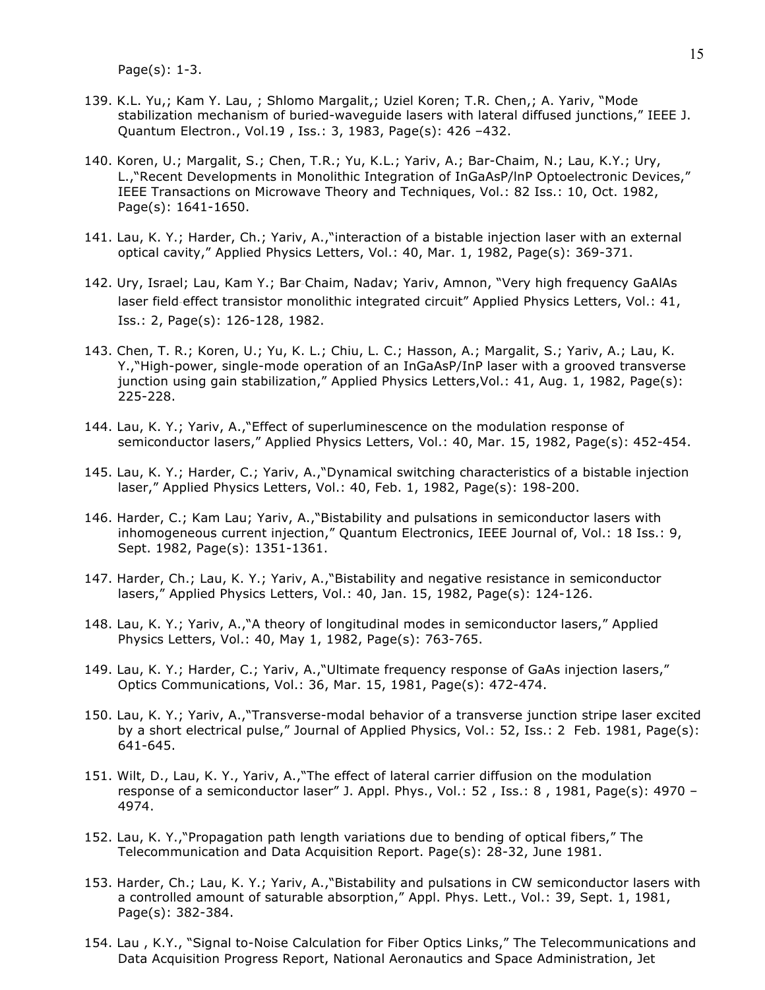Page(s): 1-3.

- 139. K.L. Yu,; Kam Y. Lau, ; Shlomo Margalit,; Uziel Koren; T.R. Chen,; A. Yariv, "Mode stabilization mechanism of buried-waveguide lasers with lateral diffused junctions," IEEE J. Quantum Electron., Vol.19 , Iss.: 3, 1983, Page(s): 426 –432.
- 140. Koren, U.; Margalit, S.; Chen, T.R.; Yu, K.L.; Yariv, A.; Bar-Chaim, N.; Lau, K.Y.; Ury, L.,"Recent Developments in Monolithic Integration of InGaAsP/lnP Optoelectronic Devices," IEEE Transactions on Microwave Theory and Techniques, Vol.: 82 Iss.: 10, Oct. 1982, Page(s): 1641-1650.
- 141. Lau, K. Y.; Harder, Ch.; Yariv, A.,"interaction of a bistable injection laser with an external optical cavity," Applied Physics Letters, Vol.: 40, Mar. 1, 1982, Page(s): 369-371.
- 142. Ury, Israel; Lau, Kam Y.; Bar‐Chaim, Nadav; Yariv, Amnon, "Very high frequency GaAlAs laser field‐effect transistor monolithic integrated circuit" Applied Physics Letters, Vol.: 41, Iss.: 2, Page(s): 126-128, 1982.
- 143. Chen, T. R.; Koren, U.; Yu, K. L.; Chiu, L. C.; Hasson, A.; Margalit, S.; Yariv, A.; Lau, K. Y.,"High-power, single-mode operation of an InGaAsP/InP laser with a grooved transverse junction using gain stabilization," Applied Physics Letters, Vol.: 41, Aug. 1, 1982, Page(s): 225-228.
- 144. Lau, K. Y.; Yariv, A.,"Effect of superluminescence on the modulation response of semiconductor lasers," Applied Physics Letters, Vol.: 40, Mar. 15, 1982, Page(s): 452-454.
- 145. Lau, K. Y.; Harder, C.; Yariv, A.,"Dynamical switching characteristics of a bistable injection laser," Applied Physics Letters, Vol.: 40, Feb. 1, 1982, Page(s): 198-200.
- 146. Harder, C.; Kam Lau; Yariv, A.,"Bistability and pulsations in semiconductor lasers with inhomogeneous current injection," Quantum Electronics, IEEE Journal of, Vol.: 18 Iss.: 9, Sept. 1982, Page(s): 1351-1361.
- 147. Harder, Ch.; Lau, K. Y.; Yariv, A.,"Bistability and negative resistance in semiconductor lasers," Applied Physics Letters, Vol.: 40, Jan. 15, 1982, Page(s): 124-126.
- 148. Lau, K. Y.; Yariv, A.,"A theory of longitudinal modes in semiconductor lasers," Applied Physics Letters, Vol.: 40, May 1, 1982, Page(s): 763-765.
- 149. Lau, K. Y.; Harder, C.; Yariv, A.,"Ultimate frequency response of GaAs injection lasers," Optics Communications, Vol.: 36, Mar. 15, 1981, Page(s): 472-474.
- 150. Lau, K. Y.; Yariv, A.,"Transverse-modal behavior of a transverse junction stripe laser excited by a short electrical pulse," Journal of Applied Physics, Vol.: 52, Iss.: 2 Feb. 1981, Page(s): 641-645.
- 151. Wilt, D., Lau, K. Y., Yariv, A.,"The effect of lateral carrier diffusion on the modulation response of a semiconductor laser" J. Appl. Phys., Vol.: 52 , Iss.: 8 , 1981, Page(s): 4970 – 4974.
- 152. Lau, K. Y.,"Propagation path length variations due to bending of optical fibers," The Telecommunication and Data Acquisition Report. Page(s): 28-32, June 1981.
- 153. Harder, Ch.; Lau, K. Y.; Yariv, A.,"Bistability and pulsations in CW semiconductor lasers with a controlled amount of saturable absorption," Appl. Phys. Lett., Vol.: 39, Sept. 1, 1981, Page(s): 382-384.
- 154. Lau , K.Y., "Signal to-Noise Calculation for Fiber Optics Links," The Telecommunications and Data Acquisition Progress Report, National Aeronautics and Space Administration, Jet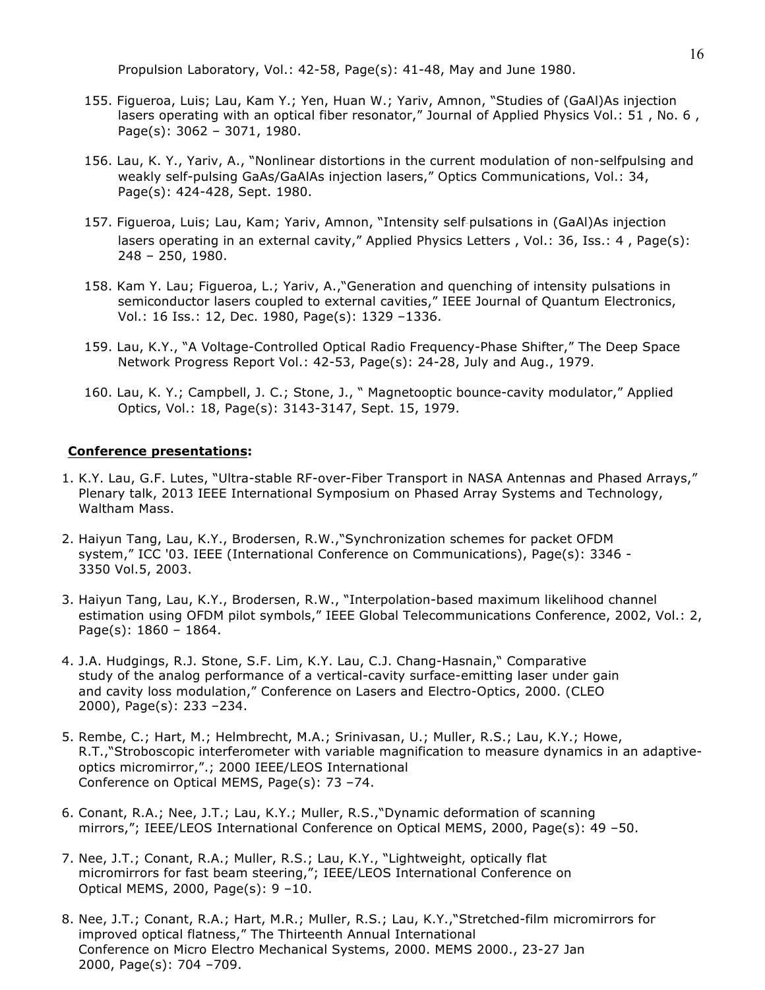Propulsion Laboratory, Vol.: 42-58, Page(s): 41-48, May and June 1980.

- 155. Figueroa, Luis; Lau, Kam Y.; Yen, Huan W.; Yariv, Amnon, "Studies of (GaAl)As injection lasers operating with an optical fiber resonator," Journal of Applied Physics Vol.: 51, No. 6, Page(s): 3062 – 3071, 1980.
- 156. Lau, K. Y., Yariv, A., "Nonlinear distortions in the current modulation of non-selfpulsing and weakly self-pulsing GaAs/GaAlAs injection lasers," Optics Communications, Vol.: 34, Page(s): 424-428, Sept. 1980.
- 157. Figueroa, Luis; Lau, Kam; Yariv, Amnon, "Intensity self‐pulsations in (GaAl)As injection lasers operating in an external cavity," Applied Physics Letters, Vol.: 36, Iss.: 4, Page(s): 248 – 250, 1980.
- 158. Kam Y. Lau; Figueroa, L.; Yariv, A.,"Generation and quenching of intensity pulsations in semiconductor lasers coupled to external cavities," IEEE Journal of Quantum Electronics, Vol.: 16 Iss.: 12, Dec. 1980, Page(s): 1329 –1336.
- 159. Lau, K.Y., "A Voltage-Controlled Optical Radio Frequency-Phase Shifter," The Deep Space Network Progress Report Vol.: 42-53, Page(s): 24-28, July and Aug., 1979.
- 160. Lau, K. Y.; Campbell, J. C.; Stone, J., " Magnetooptic bounce-cavity modulator," Applied Optics, Vol.: 18, Page(s): 3143-3147, Sept. 15, 1979.

#### **Conference presentations:**

- 1. K.Y. Lau, G.F. Lutes, "Ultra-stable RF-over-Fiber Transport in NASA Antennas and Phased Arrays," Plenary talk, 2013 IEEE International Symposium on Phased Array Systems and Technology, Waltham Mass.
- 2. Haiyun Tang, Lau, K.Y., Brodersen, R.W.,"Synchronization schemes for packet OFDM system," ICC '03. IEEE (International Conference on Communications), Page(s): 3346 - 3350 Vol.5, 2003.
- 3. Haiyun Tang, Lau, K.Y., Brodersen, R.W., "Interpolation-based maximum likelihood channel estimation using OFDM pilot symbols," IEEE Global Telecommunications Conference, 2002, Vol.: 2, Page(s): 1860 – 1864.
- 4. J.A. Hudgings, R.J. Stone, S.F. Lim, K.Y. Lau, C.J. Chang-Hasnain," Comparative study of the analog performance of a vertical-cavity surface-emitting laser under gain and cavity loss modulation," Conference on Lasers and Electro-Optics, 2000. (CLEO 2000), Page(s): 233 –234.
- 5. Rembe, C.; Hart, M.; Helmbrecht, M.A.; Srinivasan, U.; Muller, R.S.; Lau, K.Y.; Howe, R.T.,"Stroboscopic interferometer with variable magnification to measure dynamics in an adaptiveoptics micromirror,".; 2000 IEEE/LEOS International Conference on Optical MEMS, Page(s): 73 –74.
- 6. Conant, R.A.; Nee, J.T.; Lau, K.Y.; Muller, R.S.,"Dynamic deformation of scanning mirrors,"; IEEE/LEOS International Conference on Optical MEMS, 2000, Page(s): 49 –50.
- 7. Nee, J.T.; Conant, R.A.; Muller, R.S.; Lau, K.Y., "Lightweight, optically flat micromirrors for fast beam steering,"; IEEE/LEOS International Conference on Optical MEMS, 2000, Page(s): 9 –10.
- 8. Nee, J.T.; Conant, R.A.; Hart, M.R.; Muller, R.S.; Lau, K.Y.,"Stretched-film micromirrors for improved optical flatness," The Thirteenth Annual International Conference on Micro Electro Mechanical Systems, 2000. MEMS 2000., 23-27 Jan 2000, Page(s): 704 –709.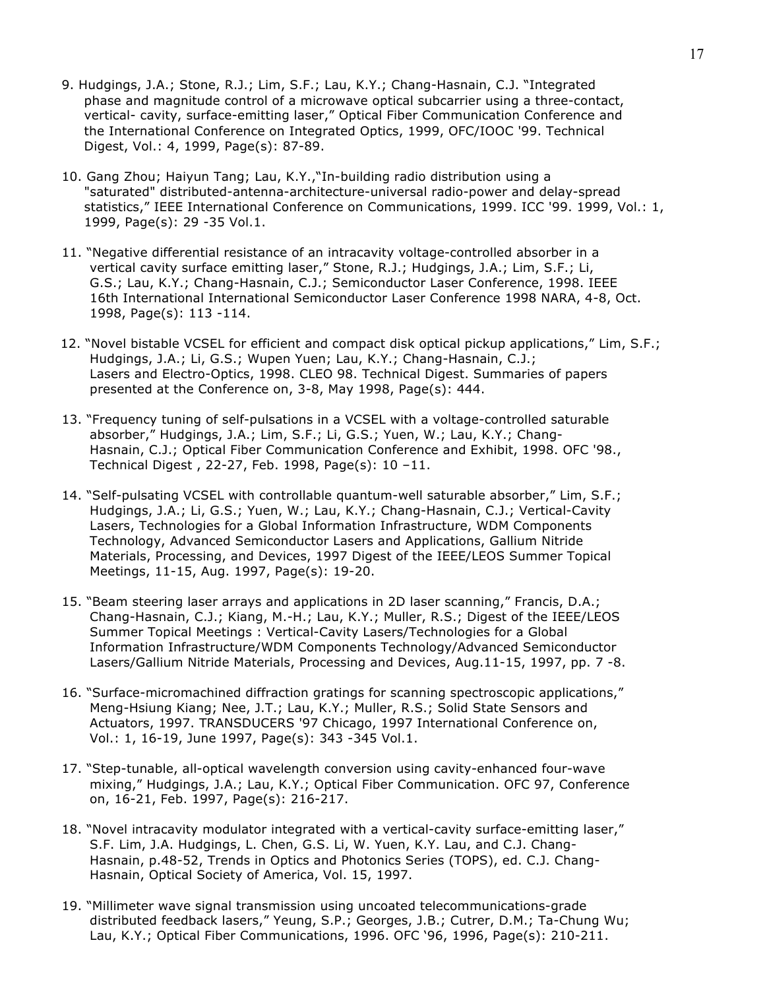- 9. Hudgings, J.A.; Stone, R.J.; Lim, S.F.; Lau, K.Y.; Chang-Hasnain, C.J. "Integrated phase and magnitude control of a microwave optical subcarrier using a three-contact, vertical- cavity, surface-emitting laser," Optical Fiber Communication Conference and the International Conference on Integrated Optics, 1999, OFC/IOOC '99. Technical Digest, Vol.: 4, 1999, Page(s): 87-89.
- 10. Gang Zhou; Haiyun Tang; Lau, K.Y.,"In-building radio distribution using a "saturated" distributed-antenna-architecture-universal radio-power and delay-spread statistics," IEEE International Conference on Communications, 1999. ICC '99. 1999, Vol.: 1, 1999, Page(s): 29 -35 Vol.1.
- 11. "Negative differential resistance of an intracavity voltage-controlled absorber in a vertical cavity surface emitting laser," Stone, R.J.; Hudgings, J.A.; Lim, S.F.; Li, G.S.; Lau, K.Y.; Chang-Hasnain, C.J.; Semiconductor Laser Conference, 1998. IEEE 16th International International Semiconductor Laser Conference 1998 NARA, 4-8, Oct. 1998, Page(s): 113 -114.
- 12. "Novel bistable VCSEL for efficient and compact disk optical pickup applications," Lim, S.F.; Hudgings, J.A.; Li, G.S.; Wupen Yuen; Lau, K.Y.; Chang-Hasnain, C.J.; Lasers and Electro-Optics, 1998. CLEO 98. Technical Digest. Summaries of papers presented at the Conference on, 3-8, May 1998, Page(s): 444.
- 13. "Frequency tuning of self-pulsations in a VCSEL with a voltage-controlled saturable absorber," Hudgings, J.A.; Lim, S.F.; Li, G.S.; Yuen, W.; Lau, K.Y.; Chang-Hasnain, C.J.; Optical Fiber Communication Conference and Exhibit, 1998. OFC '98., Technical Digest , 22-27, Feb. 1998, Page(s): 10 –11.
- 14. "Self-pulsating VCSEL with controllable quantum-well saturable absorber," Lim, S.F.; Hudgings, J.A.; Li, G.S.; Yuen, W.; Lau, K.Y.; Chang-Hasnain, C.J.; Vertical-Cavity Lasers, Technologies for a Global Information Infrastructure, WDM Components Technology, Advanced Semiconductor Lasers and Applications, Gallium Nitride Materials, Processing, and Devices, 1997 Digest of the IEEE/LEOS Summer Topical Meetings, 11-15, Aug. 1997, Page(s): 19-20.
- 15. "Beam steering laser arrays and applications in 2D laser scanning," Francis, D.A.; Chang-Hasnain, C.J.; Kiang, M.-H.; Lau, K.Y.; Muller, R.S.; Digest of the IEEE/LEOS Summer Topical Meetings : Vertical-Cavity Lasers/Technologies for a Global Information Infrastructure/WDM Components Technology/Advanced Semiconductor Lasers/Gallium Nitride Materials, Processing and Devices, Aug.11-15, 1997, pp. 7 -8.
- 16. "Surface-micromachined diffraction gratings for scanning spectroscopic applications," Meng-Hsiung Kiang; Nee, J.T.; Lau, K.Y.; Muller, R.S.; Solid State Sensors and Actuators, 1997. TRANSDUCERS '97 Chicago, 1997 International Conference on, Vol.: 1, 16-19, June 1997, Page(s): 343 -345 Vol.1.
- 17. "Step-tunable, all-optical wavelength conversion using cavity-enhanced four-wave mixing," Hudgings, J.A.; Lau, K.Y.; Optical Fiber Communication. OFC 97, Conference on, 16-21, Feb. 1997, Page(s): 216-217.
- 18. "Novel intracavity modulator integrated with a vertical-cavity surface-emitting laser," S.F. Lim, J.A. Hudgings, L. Chen, G.S. Li, W. Yuen, K.Y. Lau, and C.J. Chang-Hasnain, p.48-52, Trends in Optics and Photonics Series (TOPS), ed. C.J. Chang-Hasnain, Optical Society of America, Vol. 15, 1997.
- 19. "Millimeter wave signal transmission using uncoated telecommunications-grade distributed feedback lasers," Yeung, S.P.; Georges, J.B.; Cutrer, D.M.; Ta-Chung Wu; Lau, K.Y.; Optical Fiber Communications, 1996. OFC '96, 1996, Page(s): 210-211.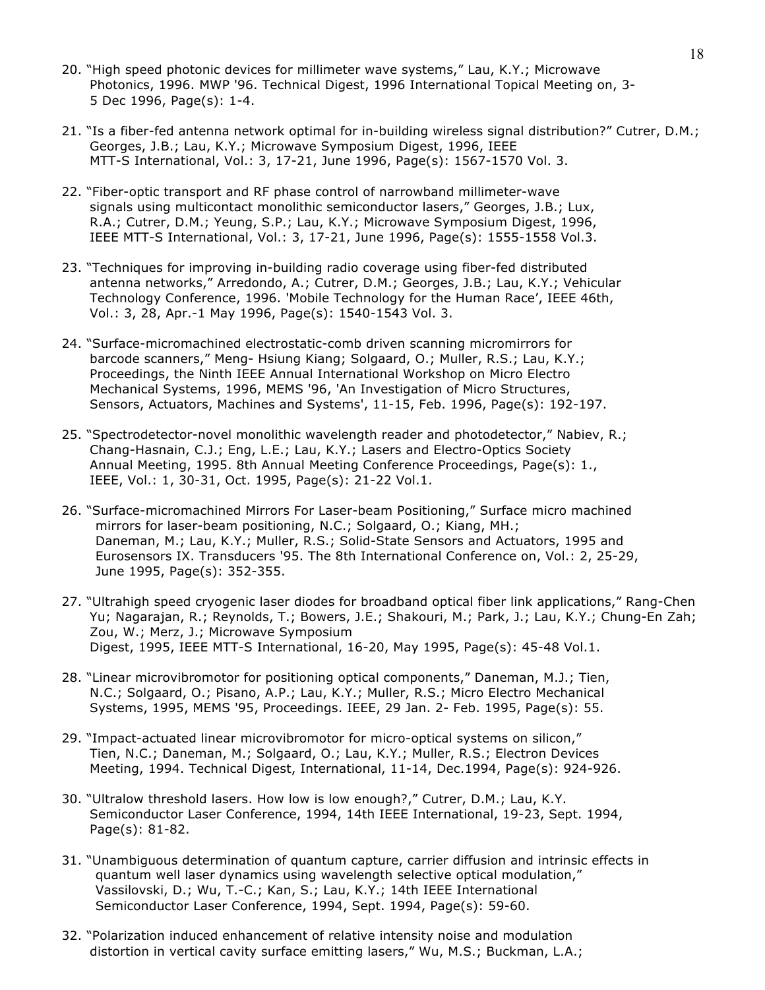- 20. "High speed photonic devices for millimeter wave systems," Lau, K.Y.; Microwave Photonics, 1996. MWP '96. Technical Digest, 1996 International Topical Meeting on, 3- 5 Dec 1996, Page(s): 1-4.
- 21. "Is a fiber-fed antenna network optimal for in-building wireless signal distribution?" Cutrer, D.M.; Georges, J.B.; Lau, K.Y.; Microwave Symposium Digest, 1996, IEEE MTT-S International, Vol.: 3, 17-21, June 1996, Page(s): 1567-1570 Vol. 3.
- 22. "Fiber-optic transport and RF phase control of narrowband millimeter-wave signals using multicontact monolithic semiconductor lasers," Georges, J.B.; Lux, R.A.; Cutrer, D.M.; Yeung, S.P.; Lau, K.Y.; Microwave Symposium Digest, 1996, IEEE MTT-S International, Vol.: 3, 17-21, June 1996, Page(s): 1555-1558 Vol.3.
- 23. "Techniques for improving in-building radio coverage using fiber-fed distributed antenna networks," Arredondo, A.; Cutrer, D.M.; Georges, J.B.; Lau, K.Y.; Vehicular Technology Conference, 1996. 'Mobile Technology for the Human Race', IEEE 46th, Vol.: 3, 28, Apr.-1 May 1996, Page(s): 1540-1543 Vol. 3.
- 24. "Surface-micromachined electrostatic-comb driven scanning micromirrors for barcode scanners," Meng- Hsiung Kiang; Solgaard, O.; Muller, R.S.; Lau, K.Y.; Proceedings, the Ninth IEEE Annual International Workshop on Micro Electro Mechanical Systems, 1996, MEMS '96, 'An Investigation of Micro Structures, Sensors, Actuators, Machines and Systems', 11-15, Feb. 1996, Page(s): 192-197.
- 25. "Spectrodetector-novel monolithic wavelength reader and photodetector," Nabiev, R.; Chang-Hasnain, C.J.; Eng, L.E.; Lau, K.Y.; Lasers and Electro-Optics Society Annual Meeting, 1995. 8th Annual Meeting Conference Proceedings, Page(s): 1., IEEE, Vol.: 1, 30-31, Oct. 1995, Page(s): 21-22 Vol.1.
- 26. "Surface-micromachined Mirrors For Laser-beam Positioning," Surface micro machined mirrors for laser-beam positioning, N.C.; Solgaard, O.; Kiang, MH.; Daneman, M.; Lau, K.Y.; Muller, R.S.; Solid-State Sensors and Actuators, 1995 and Eurosensors IX. Transducers '95. The 8th International Conference on, Vol.: 2, 25-29, June 1995, Page(s): 352-355.
- 27. "Ultrahigh speed cryogenic laser diodes for broadband optical fiber link applications," Rang-Chen Yu; Nagarajan, R.; Reynolds, T.; Bowers, J.E.; Shakouri, M.; Park, J.; Lau, K.Y.; Chung-En Zah; Zou, W.; Merz, J.; Microwave Symposium Digest, 1995, IEEE MTT-S International, 16-20, May 1995, Page(s): 45-48 Vol.1.
- 28. "Linear microvibromotor for positioning optical components," Daneman, M.J.; Tien, N.C.; Solgaard, O.; Pisano, A.P.; Lau, K.Y.; Muller, R.S.; Micro Electro Mechanical Systems, 1995, MEMS '95, Proceedings. IEEE, 29 Jan. 2- Feb. 1995, Page(s): 55.
- 29. "Impact-actuated linear microvibromotor for micro-optical systems on silicon," Tien, N.C.; Daneman, M.; Solgaard, O.; Lau, K.Y.; Muller, R.S.; Electron Devices Meeting, 1994. Technical Digest, International, 11-14, Dec.1994, Page(s): 924-926.
- 30. "Ultralow threshold lasers. How low is low enough?," Cutrer, D.M.; Lau, K.Y. Semiconductor Laser Conference, 1994, 14th IEEE International, 19-23, Sept. 1994, Page(s): 81-82.
- 31. "Unambiguous determination of quantum capture, carrier diffusion and intrinsic effects in quantum well laser dynamics using wavelength selective optical modulation," Vassilovski, D.; Wu, T.-C.; Kan, S.; Lau, K.Y.; 14th IEEE International Semiconductor Laser Conference, 1994, Sept. 1994, Page(s): 59-60.
- 32. "Polarization induced enhancement of relative intensity noise and modulation distortion in vertical cavity surface emitting lasers," Wu, M.S.; Buckman, L.A.;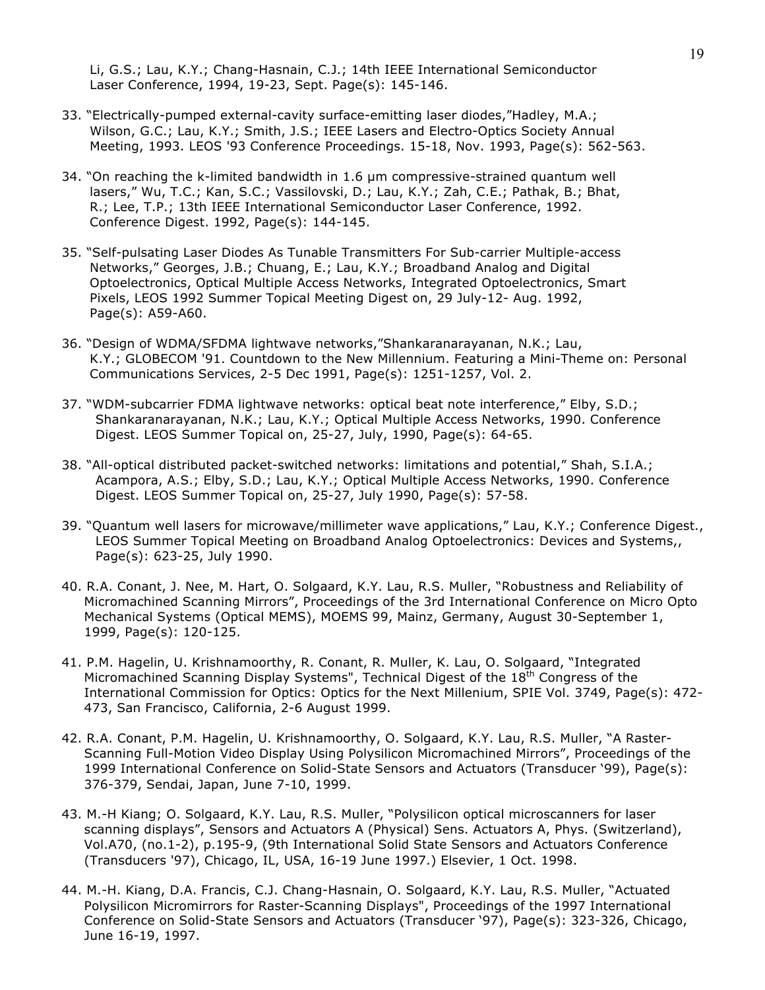Li, G.S.; Lau, K.Y.; Chang-Hasnain, C.J.; 14th IEEE International Semiconductor Laser Conference, 1994, 19-23, Sept. Page(s): 145-146.

- 33. "Electrically-pumped external-cavity surface-emitting laser diodes,"Hadley, M.A.; Wilson, G.C.; Lau, K.Y.; Smith, J.S.; IEEE Lasers and Electro-Optics Society Annual Meeting, 1993. LEOS '93 Conference Proceedings. 15-18, Nov. 1993, Page(s): 562-563.
- 34. "On reaching the k-limited bandwidth in 1.6 µm compressive-strained quantum well lasers," Wu, T.C.; Kan, S.C.; Vassilovski, D.; Lau, K.Y.; Zah, C.E.; Pathak, B.; Bhat, R.; Lee, T.P.; 13th IEEE International Semiconductor Laser Conference, 1992. Conference Digest. 1992, Page(s): 144-145.
- 35. "Self-pulsating Laser Diodes As Tunable Transmitters For Sub-carrier Multiple-access Networks," Georges, J.B.; Chuang, E.; Lau, K.Y.; Broadband Analog and Digital Optoelectronics, Optical Multiple Access Networks, Integrated Optoelectronics, Smart Pixels, LEOS 1992 Summer Topical Meeting Digest on, 29 July-12- Aug. 1992, Page(s): A59-A60.
- 36. "Design of WDMA/SFDMA lightwave networks,"Shankaranarayanan, N.K.; Lau, K.Y.; GLOBECOM '91. Countdown to the New Millennium. Featuring a Mini-Theme on: Personal Communications Services, 2-5 Dec 1991, Page(s): 1251-1257, Vol. 2.
- 37. "WDM-subcarrier FDMA lightwave networks: optical beat note interference," Elby, S.D.; Shankaranarayanan, N.K.; Lau, K.Y.; Optical Multiple Access Networks, 1990. Conference Digest. LEOS Summer Topical on, 25-27, July, 1990, Page(s): 64-65.
- 38. "All-optical distributed packet-switched networks: limitations and potential," Shah, S.I.A.; Acampora, A.S.; Elby, S.D.; Lau, K.Y.; Optical Multiple Access Networks, 1990. Conference Digest. LEOS Summer Topical on, 25-27, July 1990, Page(s): 57-58.
- 39. "Quantum well lasers for microwave/millimeter wave applications," Lau, K.Y.; Conference Digest., LEOS Summer Topical Meeting on Broadband Analog Optoelectronics: Devices and Systems,, Page(s): 623-25, July 1990.
- 40. R.A. Conant, J. Nee, M. Hart, O. Solgaard, K.Y. Lau, R.S. Muller, "Robustness and Reliability of Micromachined Scanning Mirrors", Proceedings of the 3rd International Conference on Micro Opto Mechanical Systems (Optical MEMS), MOEMS 99, Mainz, Germany, August 30-September 1, 1999, Page(s): 120-125.
- 41. P.M. Hagelin, U. Krishnamoorthy, R. Conant, R. Muller, K. Lau, O. Solgaard, "Integrated Micromachined Scanning Display Systems", Technical Digest of the 18<sup>th</sup> Congress of the International Commission for Optics: Optics for the Next Millenium, SPIE Vol. 3749, Page(s): 472- 473, San Francisco, California, 2-6 August 1999.
- 42. R.A. Conant, P.M. Hagelin, U. Krishnamoorthy, O. Solgaard, K.Y. Lau, R.S. Muller, "A Raster-Scanning Full-Motion Video Display Using Polysilicon Micromachined Mirrors", Proceedings of the 1999 International Conference on Solid-State Sensors and Actuators (Transducer '99), Page(s): 376-379, Sendai, Japan, June 7-10, 1999.
- 43. M.-H Kiang; O. Solgaard, K.Y. Lau, R.S. Muller, "Polysilicon optical microscanners for laser scanning displays", Sensors and Actuators A (Physical) Sens. Actuators A, Phys. (Switzerland), Vol.A70, (no.1-2), p.195-9, (9th International Solid State Sensors and Actuators Conference (Transducers '97), Chicago, IL, USA, 16-19 June 1997.) Elsevier, 1 Oct. 1998.
- 44. M.-H. Kiang, D.A. Francis, C.J. Chang-Hasnain, O. Solgaard, K.Y. Lau, R.S. Muller, "Actuated Polysilicon Micromirrors for Raster-Scanning Displays", Proceedings of the 1997 International Conference on Solid-State Sensors and Actuators (Transducer '97), Page(s): 323-326, Chicago, June 16-19, 1997.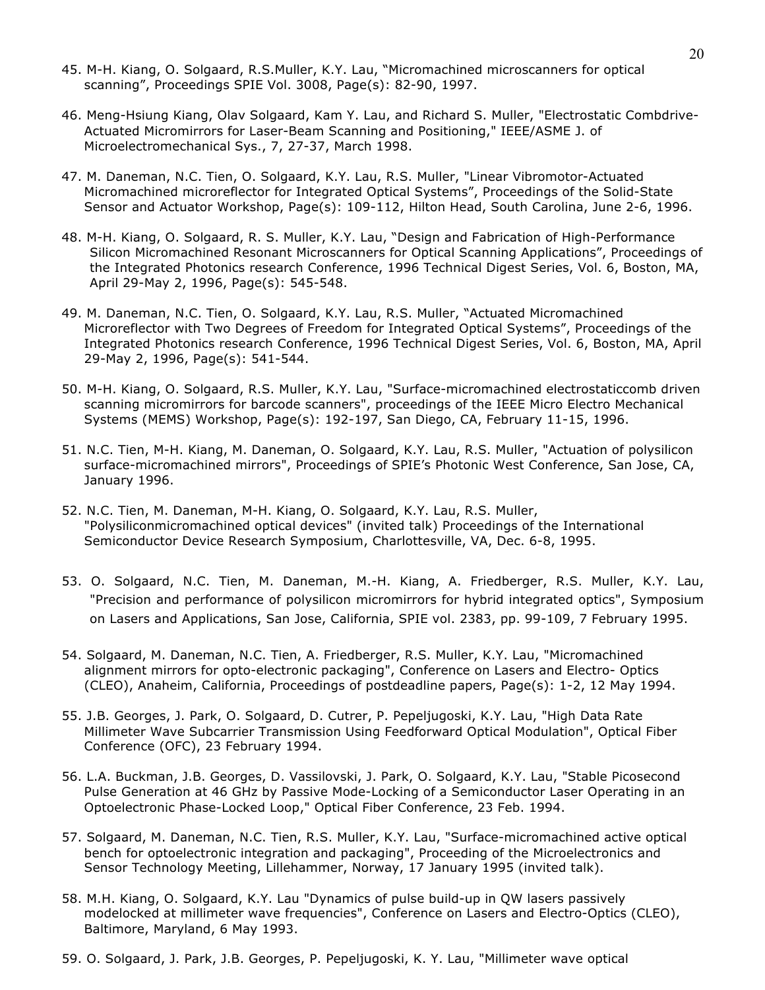- 45. M-H. Kiang, O. Solgaard, R.S.Muller, K.Y. Lau, "Micromachined microscanners for optical scanning", Proceedings SPIE Vol. 3008, Page(s): 82-90, 1997.
- 46. Meng-Hsiung Kiang, Olav Solgaard, Kam Y. Lau, and Richard S. Muller, "Electrostatic Combdrive-Actuated Micromirrors for Laser-Beam Scanning and Positioning," IEEE/ASME J. of Microelectromechanical Sys., 7, 27-37, March 1998.
- 47. M. Daneman, N.C. Tien, O. Solgaard, K.Y. Lau, R.S. Muller, "Linear Vibromotor-Actuated Micromachined microreflector for Integrated Optical Systems", Proceedings of the Solid-State Sensor and Actuator Workshop, Page(s): 109-112, Hilton Head, South Carolina, June 2-6, 1996.
- 48. M-H. Kiang, O. Solgaard, R. S. Muller, K.Y. Lau, "Design and Fabrication of High-Performance Silicon Micromachined Resonant Microscanners for Optical Scanning Applications", Proceedings of the Integrated Photonics research Conference, 1996 Technical Digest Series, Vol. 6, Boston, MA, April 29-May 2, 1996, Page(s): 545-548.
- 49. M. Daneman, N.C. Tien, O. Solgaard, K.Y. Lau, R.S. Muller, "Actuated Micromachined Microreflector with Two Degrees of Freedom for Integrated Optical Systems", Proceedings of the Integrated Photonics research Conference, 1996 Technical Digest Series, Vol. 6, Boston, MA, April 29-May 2, 1996, Page(s): 541-544.
- 50. M-H. Kiang, O. Solgaard, R.S. Muller, K.Y. Lau, "Surface-micromachined electrostaticcomb driven scanning micromirrors for barcode scanners", proceedings of the IEEE Micro Electro Mechanical Systems (MEMS) Workshop, Page(s): 192-197, San Diego, CA, February 11-15, 1996.
- 51. N.C. Tien, M-H. Kiang, M. Daneman, O. Solgaard, K.Y. Lau, R.S. Muller, "Actuation of polysilicon surface-micromachined mirrors", Proceedings of SPIE's Photonic West Conference, San Jose, CA, January 1996.
- 52. N.C. Tien, M. Daneman, M-H. Kiang, O. Solgaard, K.Y. Lau, R.S. Muller, "Polysiliconmicromachined optical devices" (invited talk) Proceedings of the International Semiconductor Device Research Symposium, Charlottesville, VA, Dec. 6-8, 1995.
- 53. O. Solgaard, N.C. Tien, M. Daneman, M.-H. Kiang, A. Friedberger, R.S. Muller, K.Y. Lau, "Precision and performance of polysilicon micromirrors for hybrid integrated optics", Symposium on Lasers and Applications, San Jose, California, SPIE vol. 2383, pp. 99-109, 7 February 1995.
- 54. Solgaard, M. Daneman, N.C. Tien, A. Friedberger, R.S. Muller, K.Y. Lau, "Micromachined alignment mirrors for opto-electronic packaging", Conference on Lasers and Electro- Optics (CLEO), Anaheim, California, Proceedings of postdeadline papers, Page(s): 1-2, 12 May 1994.
- 55. J.B. Georges, J. Park, O. Solgaard, D. Cutrer, P. Pepeljugoski, K.Y. Lau, "High Data Rate Millimeter Wave Subcarrier Transmission Using Feedforward Optical Modulation", Optical Fiber Conference (OFC), 23 February 1994.
- 56. L.A. Buckman, J.B. Georges, D. Vassilovski, J. Park, O. Solgaard, K.Y. Lau, "Stable Picosecond Pulse Generation at 46 GHz by Passive Mode-Locking of a Semiconductor Laser Operating in an Optoelectronic Phase-Locked Loop," Optical Fiber Conference, 23 Feb. 1994.
- 57. Solgaard, M. Daneman, N.C. Tien, R.S. Muller, K.Y. Lau, "Surface-micromachined active optical bench for optoelectronic integration and packaging", Proceeding of the Microelectronics and Sensor Technology Meeting, Lillehammer, Norway, 17 January 1995 (invited talk).
- 58. M.H. Kiang, O. Solgaard, K.Y. Lau "Dynamics of pulse build-up in QW lasers passively modelocked at millimeter wave frequencies", Conference on Lasers and Electro-Optics (CLEO), Baltimore, Maryland, 6 May 1993.
- 59. O. Solgaard, J. Park, J.B. Georges, P. Pepeljugoski, K. Y. Lau, "Millimeter wave optical